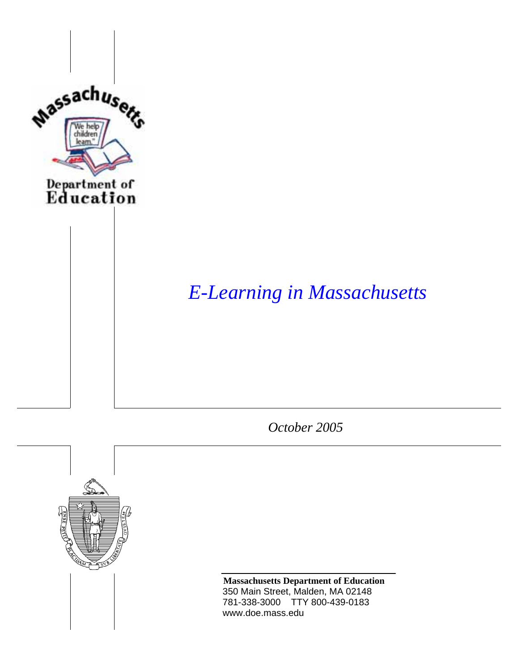

# *E-Learning in Massachusetts*

*October 2005* 



**Massachusetts Department of Education**  350 Main Street, Malden, MA 02148 781-338-3000 TTY 800-439-0183 www.doe.mass.edu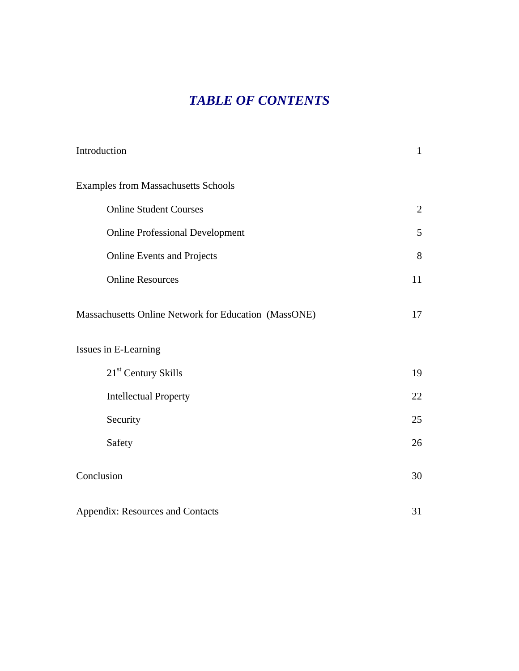# *TABLE OF CONTENTS*

| Introduction                                         | $\mathbf{1}$ |
|------------------------------------------------------|--------------|
| <b>Examples from Massachusetts Schools</b>           |              |
| <b>Online Student Courses</b>                        | 2            |
| <b>Online Professional Development</b>               | 5            |
| <b>Online Events and Projects</b>                    | 8            |
| <b>Online Resources</b>                              | 11           |
| Massachusetts Online Network for Education (MassONE) | 17           |
| Issues in E-Learning                                 |              |
| 21 <sup>st</sup> Century Skills                      | 19           |
| <b>Intellectual Property</b>                         | 22           |
| Security                                             | 25           |
| Safety                                               | 26           |
| Conclusion                                           | 30           |
| Appendix: Resources and Contacts                     | 31           |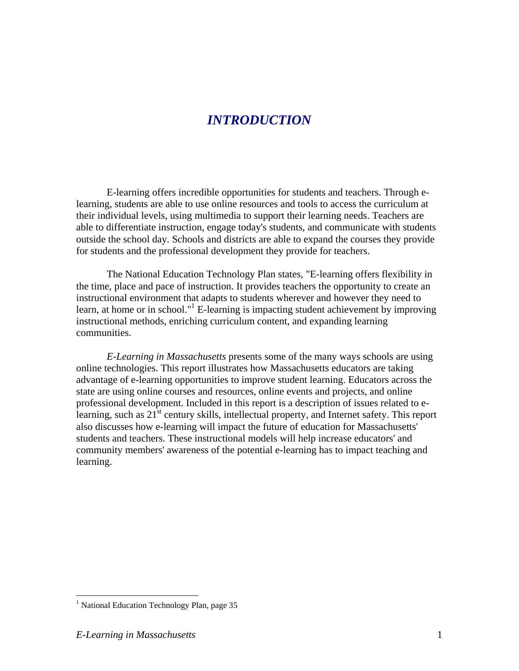### *INTRODUCTION*

E-learning offers incredible opportunities for students and teachers. Through elearning, students are able to use online resources and tools to access the curriculum at their individual levels, using multimedia to support their learning needs. Teachers are able to differentiate instruction, engage today's students, and communicate with students outside the school day. Schools and districts are able to expand the courses they provide for students and the professional development they provide for teachers.

The National Education Technology Plan states, "E-learning offers flexibility in the time, place and pace of instruction. It provides teachers the opportunity to create an instructional environment that adapts to students wherever and however they need to learn, at home or in school." $1$  E-learning is impacting student achievement by improving instructional methods, enriching curriculum content, and expanding learning communities.

*E-Learning in Massachusetts* presents some of the many ways schools are using online technologies. This report illustrates how Massachusetts educators are taking advantage of e-learning opportunities to improve student learning. Educators across the state are using online courses and resources, online events and projects, and online professional development. Included in this report is a description of issues related to elearning, such as 21<sup>st</sup> century skills, intellectual property, and Internet safety. This report also discusses how e-learning will impact the future of education for Massachusetts' students and teachers. These instructional models will help increase educators' and community members' awareness of the potential e-learning has to impact teaching and learning.

 $\overline{a}$ 

<sup>&</sup>lt;sup>1</sup> National Education Technology Plan, page 35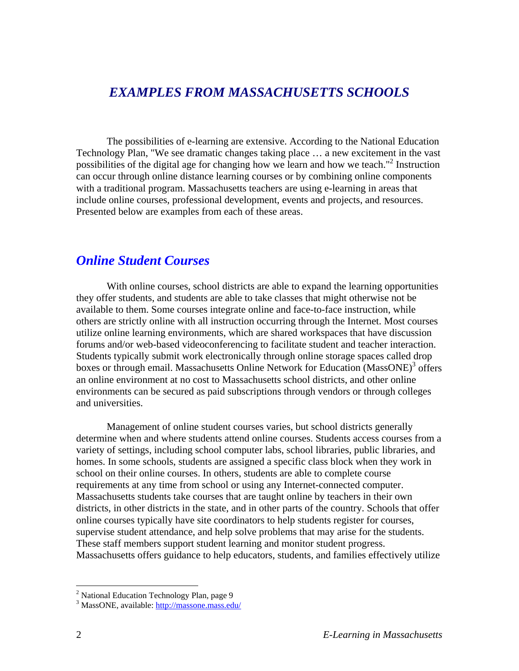### *EXAMPLES FROM MASSACHUSETTS SCHOOLS*

The possibilities of e-learning are extensive. According to the National Education Technology Plan, "We see dramatic changes taking place … a new excitement in the vast possibilities of the digital age for changing how we learn and how we teach."<sup>2</sup> Instruction can occur through online distance learning courses or by combining online components with a traditional program. Massachusetts teachers are using e-learning in areas that include online courses, professional development, events and projects, and resources. Presented below are examples from each of these areas.

#### *Online Student Courses*

With online courses, school districts are able to expand the learning opportunities they offer students, and students are able to take classes that might otherwise not be available to them. Some courses integrate online and face-to-face instruction, while others are strictly online with all instruction occurring through the Internet. Most courses utilize online learning environments, which are shared workspaces that have discussion forums and/or web-based videoconferencing to facilitate student and teacher interaction. Students typically submit work electronically through online storage spaces called drop boxes or through email. Massachusetts Online Network for Education (MassONE)<sup>3</sup> offers an online environment at no cost to Massachusetts school districts, and other online environments can be secured as paid subscriptions through vendors or through colleges and universities.

Management of online student courses varies, but school districts generally determine when and where students attend online courses. Students access courses from a variety of settings, including school computer labs, school libraries, public libraries, and homes. In some schools, students are assigned a specific class block when they work in school on their online courses. In others, students are able to complete course requirements at any time from school or using any Internet-connected computer. Massachusetts students take courses that are taught online by teachers in their own districts, in other districts in the state, and in other parts of the country. Schools that offer online courses typically have site coordinators to help students register for courses, supervise student attendance, and help solve problems that may arise for the students. These staff members support student learning and monitor student progress. Massachusetts offers guidance to help educators, students, and families effectively utilize

<sup>&</sup>lt;sup>2</sup> National Education Technology Plan, page 9<br><sup>3</sup> MaccONE available: http://massona.mass.org

<sup>&</sup>lt;sup>3</sup> MassONE, available: http://massone.mass.edu/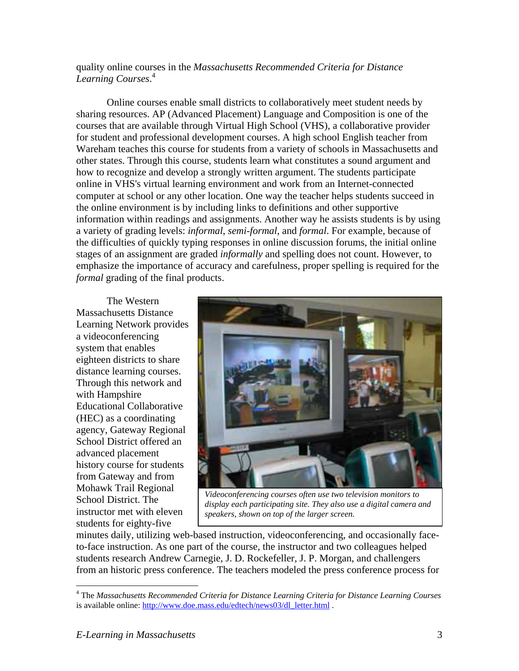#### quality online courses in the *Massachusetts Recommended Criteria for Distance Learning Courses*. 4

Online courses enable small districts to collaboratively meet student needs by sharing resources. AP (Advanced Placement) Language and Composition is one of the courses that are available through Virtual High School (VHS), a collaborative provider for student and professional development courses. A high school English teacher from Wareham teaches this course for students from a variety of schools in Massachusetts and other states. Through this course, students learn what constitutes a sound argument and how to recognize and develop a strongly written argument. The students participate online in VHS's virtual learning environment and work from an Internet-connected computer at school or any other location. One way the teacher helps students succeed in the online environment is by including links to definitions and other supportive information within readings and assignments. Another way he assists students is by using a variety of grading levels: *informal*, *semi-formal*, and *formal*. For example, because of the difficulties of quickly typing responses in online discussion forums, the initial online stages of an assignment are graded *informally* and spelling does not count. However, to emphasize the importance of accuracy and carefulness, proper spelling is required for the *formal* grading of the final products.

The Western Massachusetts Distance Learning Network provides a videoconferencing system that enables eighteen districts to share distance learning courses. Through this network and with Hampshire Educational Collaborative (HEC) as a coordinating agency, Gateway Regional School District offered an advanced placement history course for students from Gateway and from Mohawk Trail Regional School District. The instructor met with eleven students for eighty-five



*Videoconferencing courses often use two television monitors to display each participating site. They also use a digital camera and speakers, shown on top of the larger screen.* 

minutes daily, utilizing web-based instruction, videoconferencing, and occasionally faceto-face instruction. As one part of the course, the instructor and two colleagues helped students research Andrew Carnegie, J. D. Rockefeller, J. P. Morgan, and challengers from an historic press conference. The teachers modeled the press conference process for

 $\overline{a}$ 

<sup>4</sup> The *Massachusetts Recommended Criteria for Distance Learning Criteria for Distance Learning Courses* is available online: http://www.doe.mass.edu/edtech/news03/dl letter.html .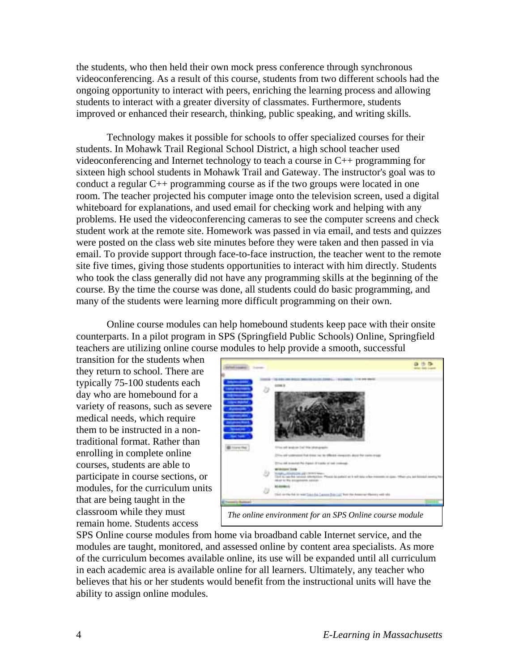the students, who then held their own mock press conference through synchronous videoconferencing. As a result of this course, students from two different schools had the ongoing opportunity to interact with peers, enriching the learning process and allowing students to interact with a greater diversity of classmates. Furthermore, students improved or enhanced their research, thinking, public speaking, and writing skills.

Technology makes it possible for schools to offer specialized courses for their students. In Mohawk Trail Regional School District, a high school teacher used videoconferencing and Internet technology to teach a course in C++ programming for sixteen high school students in Mohawk Trail and Gateway. The instructor's goal was to conduct a regular C++ programming course as if the two groups were located in one room. The teacher projected his computer image onto the television screen, used a digital whiteboard for explanations, and used email for checking work and helping with any problems. He used the videoconferencing cameras to see the computer screens and check student work at the remote site. Homework was passed in via email, and tests and quizzes were posted on the class web site minutes before they were taken and then passed in via email. To provide support through face-to-face instruction, the teacher went to the remote site five times, giving those students opportunities to interact with him directly. Students who took the class generally did not have any programming skills at the beginning of the course. By the time the course was done, all students could do basic programming, and many of the students were learning more difficult programming on their own.

Online course modules can help homebound students keep pace with their onsite counterparts. In a pilot program in SPS (Springfield Public Schools) Online, Springfield teachers are utilizing online course modules to help provide a smooth, successful

transition for the students when they return to school. There are typically 75-100 students each day who are homebound for a variety of reasons, such as severe medical needs, which require them to be instructed in a nontraditional format. Rather than enrolling in complete online courses, students are able to participate in course sections, or modules, for the curriculum units that are being taught in the classroom while they must remain home. Students access



SPS Online course modules from home via broadband cable Internet service, and the modules are taught, monitored, and assessed online by content area specialists. As more of the curriculum becomes available online, its use will be expanded until all curriculum in each academic area is available online for all learners. Ultimately, any teacher who believes that his or her students would benefit from the instructional units will have the ability to assign online modules.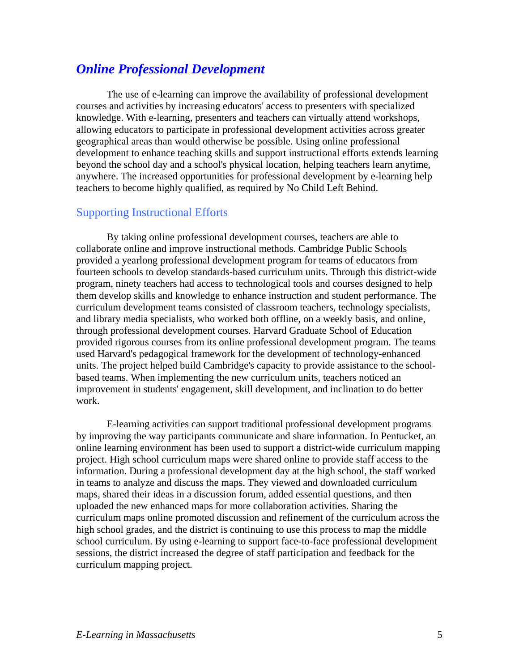### *Online Professional Development*

The use of e-learning can improve the availability of professional development courses and activities by increasing educators' access to presenters with specialized knowledge. With e-learning, presenters and teachers can virtually attend workshops, allowing educators to participate in professional development activities across greater geographical areas than would otherwise be possible. Using online professional development to enhance teaching skills and support instructional efforts extends learning beyond the school day and a school's physical location, helping teachers learn anytime, anywhere. The increased opportunities for professional development by e-learning help teachers to become highly qualified, as required by No Child Left Behind.

#### Supporting Instructional Efforts

By taking online professional development courses, teachers are able to collaborate online and improve instructional methods. Cambridge Public Schools provided a yearlong professional development program for teams of educators from fourteen schools to develop standards-based curriculum units. Through this district-wide program, ninety teachers had access to technological tools and courses designed to help them develop skills and knowledge to enhance instruction and student performance. The curriculum development teams consisted of classroom teachers, technology specialists, and library media specialists, who worked both offline, on a weekly basis, and online, through professional development courses. Harvard Graduate School of Education provided rigorous courses from its online professional development program. The teams used Harvard's pedagogical framework for the development of technology-enhanced units. The project helped build Cambridge's capacity to provide assistance to the schoolbased teams. When implementing the new curriculum units, teachers noticed an improvement in students' engagement, skill development, and inclination to do better work.

E-learning activities can support traditional professional development programs by improving the way participants communicate and share information. In Pentucket, an online learning environment has been used to support a district-wide curriculum mapping project. High school curriculum maps were shared online to provide staff access to the information. During a professional development day at the high school, the staff worked in teams to analyze and discuss the maps. They viewed and downloaded curriculum maps, shared their ideas in a discussion forum, added essential questions, and then uploaded the new enhanced maps for more collaboration activities. Sharing the curriculum maps online promoted discussion and refinement of the curriculum across the high school grades, and the district is continuing to use this process to map the middle school curriculum. By using e-learning to support face-to-face professional development sessions, the district increased the degree of staff participation and feedback for the curriculum mapping project.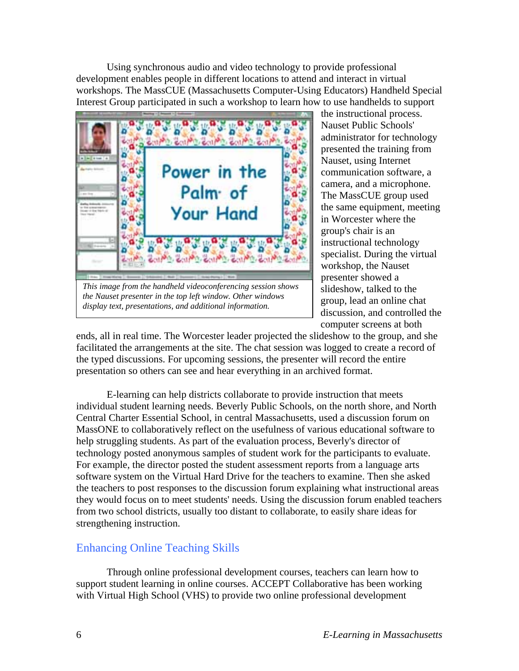Using synchronous audio and video technology to provide professional development enables people in different locations to attend and interact in virtual workshops. The MassCUE (Massachusetts Computer-Using Educators) Handheld Special Interest Group participated in such a workshop to learn how to use handhelds to support



*the Nauset presenter in the top left window. Other windows display text, presentations, and additional information.*

the instructional process. Nauset Public Schools' administrator for technology presented the training from Nauset, using Internet communication software, a camera, and a microphone. The MassCUE group used the same equipment, meeting in Worcester where the group's chair is an instructional technology specialist. During the virtual workshop, the Nauset presenter showed a slideshow, talked to the group, lead an online chat discussion, and controlled the computer screens at both

ends, all in real time. The Worcester leader projected the slideshow to the group, and she facilitated the arrangements at the site. The chat session was logged to create a record of the typed discussions. For upcoming sessions, the presenter will record the entire presentation so others can see and hear everything in an archived format.

E-learning can help districts collaborate to provide instruction that meets individual student learning needs. Beverly Public Schools, on the north shore, and North Central Charter Essential School, in central Massachusetts, used a discussion forum on MassONE to collaboratively reflect on the usefulness of various educational software to help struggling students. As part of the evaluation process, Beverly's director of technology posted anonymous samples of student work for the participants to evaluate. For example, the director posted the student assessment reports from a language arts software system on the Virtual Hard Drive for the teachers to examine. Then she asked the teachers to post responses to the discussion forum explaining what instructional areas they would focus on to meet students' needs. Using the discussion forum enabled teachers from two school districts, usually too distant to collaborate, to easily share ideas for strengthening instruction.

#### Enhancing Online Teaching Skills

Through online professional development courses, teachers can learn how to support student learning in online courses. ACCEPT Collaborative has been working with Virtual High School (VHS) to provide two online professional development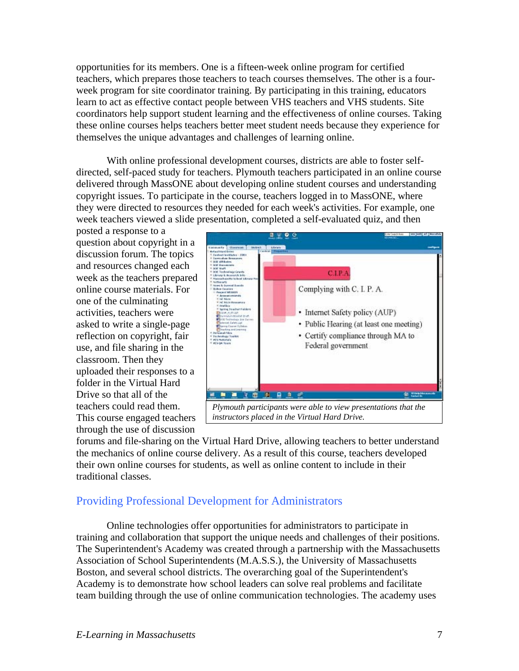opportunities for its members. One is a fifteen-week online program for certified teachers, which prepares those teachers to teach courses themselves. The other is a fourweek program for site coordinator training. By participating in this training, educators learn to act as effective contact people between VHS teachers and VHS students. Site coordinators help support student learning and the effectiveness of online courses. Taking these online courses helps teachers better meet student needs because they experience for themselves the unique advantages and challenges of learning online.

With online professional development courses, districts are able to foster selfdirected, self-paced study for teachers. Plymouth teachers participated in an online course delivered through MassONE about developing online student courses and understanding copyright issues. To participate in the course, teachers logged in to MassONE, where they were directed to resources they needed for each week's activities. For example, one week teachers viewed a slide presentation, completed a self-evaluated quiz, and then

posted a response to a question about copyright in a discussion forum. The topics and resources changed each week as the teachers prepared online course materials. For one of the culminating activities, teachers were asked to write a single-page reflection on copyright, fair use, and file sharing in the classroom. Then they uploaded their responses to a folder in the Virtual Hard Drive so that all of the teachers could read them. This course engaged teachers through the use of discussion



*instructors placed in the Virtual Hard Drive.* 

forums and file-sharing on the Virtual Hard Drive, allowing teachers to better understand the mechanics of online course delivery. As a result of this course, teachers developed their own online courses for students, as well as online content to include in their traditional classes.

#### Providing Professional Development for Administrators

Online technologies offer opportunities for administrators to participate in training and collaboration that support the unique needs and challenges of their positions. The Superintendent's Academy was created through a partnership with the Massachusetts Association of School Superintendents (M.A.S.S.), the University of Massachusetts Boston, and several school districts. The overarching goal of the Superintendent's Academy is to demonstrate how school leaders can solve real problems and facilitate team building through the use of online communication technologies. The academy uses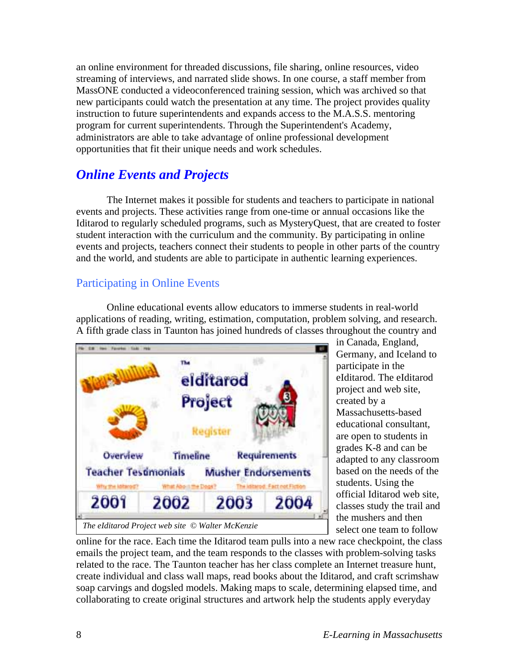an online environment for threaded discussions, file sharing, online resources, video streaming of interviews, and narrated slide shows. In one course, a staff member from MassONE conducted a videoconferenced training session, which was archived so that new participants could watch the presentation at any time. The project provides quality instruction to future superintendents and expands access to the M.A.S.S. mentoring program for current superintendents. Through the Superintendent's Academy, administrators are able to take advantage of online professional development opportunities that fit their unique needs and work schedules.

### *Online Events and Projects*

The Internet makes it possible for students and teachers to participate in national events and projects. These activities range from one-time or annual occasions like the Iditarod to regularly scheduled programs, such as MysteryQuest, that are created to foster student interaction with the curriculum and the community. By participating in online events and projects, teachers connect their students to people in other parts of the country and the world, and students are able to participate in authentic learning experiences.

### Participating in Online Events

Online educational events allow educators to immerse students in real-world applications of reading, writing, estimation, computation, problem solving, and research. A fifth grade class in Taunton has joined hundreds of classes throughout the country and



in Canada, England, Germany, and Iceland to participate in the eIditarod. The eIditarod project and web site, created by a Massachusetts-based educational consultant, are open to students in grades K-8 and can be adapted to any classroom based on the needs of the students. Using the official Iditarod web site, classes study the trail and the mushers and then select one team to follow

online for the race. Each time the Iditarod team pulls into a new race checkpoint, the class emails the project team, and the team responds to the classes with problem-solving tasks related to the race. The Taunton teacher has her class complete an Internet treasure hunt, create individual and class wall maps, read books about the Iditarod, and craft scrimshaw soap carvings and dogsled models. Making maps to scale, determining elapsed time, and collaborating to create original structures and artwork help the students apply everyday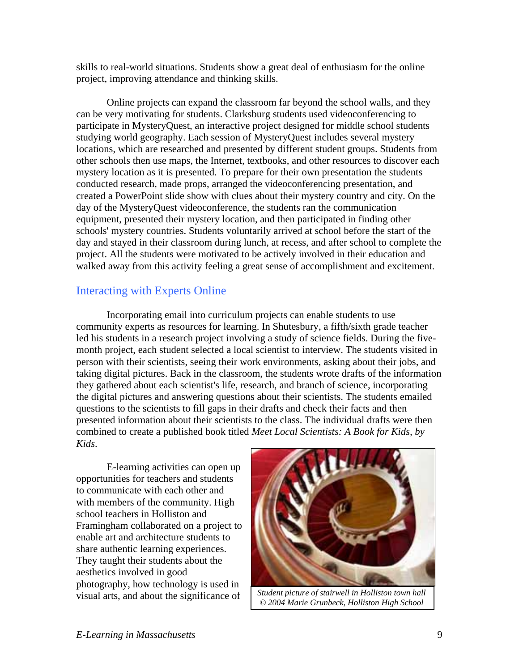skills to real-world situations. Students show a great deal of enthusiasm for the online project, improving attendance and thinking skills.

Online projects can expand the classroom far beyond the school walls, and they can be very motivating for students. Clarksburg students used videoconferencing to participate in MysteryQuest, an interactive project designed for middle school students studying world geography. Each session of MysteryQuest includes several mystery locations, which are researched and presented by different student groups. Students from other schools then use maps, the Internet, textbooks, and other resources to discover each mystery location as it is presented. To prepare for their own presentation the students conducted research, made props, arranged the videoconferencing presentation, and created a PowerPoint slide show with clues about their mystery country and city. On the day of the MysteryQuest videoconference, the students ran the communication equipment, presented their mystery location, and then participated in finding other schools' mystery countries. Students voluntarily arrived at school before the start of the day and stayed in their classroom during lunch, at recess, and after school to complete the project. All the students were motivated to be actively involved in their education and walked away from this activity feeling a great sense of accomplishment and excitement.

### Interacting with Experts Online

Incorporating email into curriculum projects can enable students to use community experts as resources for learning. In Shutesbury, a fifth/sixth grade teacher led his students in a research project involving a study of science fields. During the fivemonth project, each student selected a local scientist to interview. The students visited in person with their scientists, seeing their work environments, asking about their jobs, and taking digital pictures. Back in the classroom, the students wrote drafts of the information they gathered about each scientist's life, research, and branch of science, incorporating the digital pictures and answering questions about their scientists. The students emailed questions to the scientists to fill gaps in their drafts and check their facts and then presented information about their scientists to the class. The individual drafts were then combined to create a published book titled *Meet Local Scientists: A Book for Kids, by Kids*.

E-learning activities can open up opportunities for teachers and students to communicate with each other and with members of the community. High school teachers in Holliston and Framingham collaborated on a project to enable art and architecture students to share authentic learning experiences. They taught their students about the aesthetics involved in good photography, how technology is used in visual arts, and about the significance of



*Student picture of stairwell in Holliston town hall © 2004 Marie Grunbeck, Holliston High School*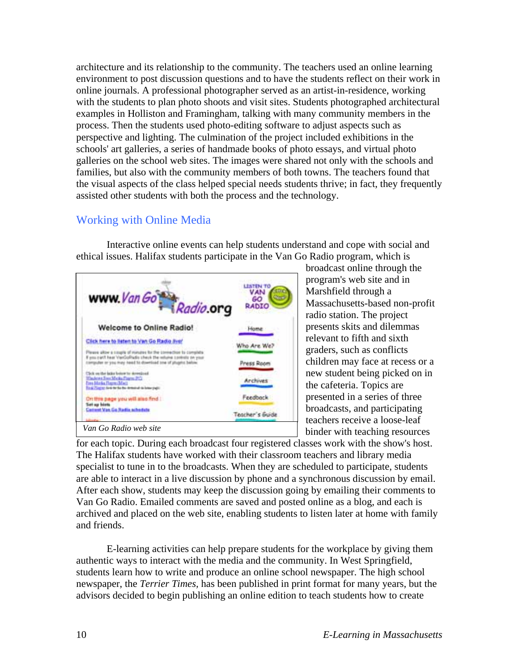architecture and its relationship to the community. The teachers used an online learning environment to post discussion questions and to have the students reflect on their work in online journals. A professional photographer served as an artist-in-residence, working with the students to plan photo shoots and visit sites. Students photographed architectural examples in Holliston and Framingham, talking with many community members in the process. Then the students used photo-editing software to adjust aspects such as perspective and lighting. The culmination of the project included exhibitions in the schools' art galleries, a series of handmade books of photo essays, and virtual photo galleries on the school web sites. The images were shared not only with the schools and families, but also with the community members of both towns. The teachers found that the visual aspects of the class helped special needs students thrive; in fact, they frequently assisted other students with both the process and the technology.

### Working with Online Media

Interactive online events can help students understand and cope with social and ethical issues. Halifax students participate in the Van Go Radio program, which is



broadcast online through the program's web site and in Marshfield through a Massachusetts-based non-profit radio station. The project presents skits and dilemmas relevant to fifth and sixth graders, such as conflicts children may face at recess or a new student being picked on in the cafeteria. Topics are presented in a series of three broadcasts, and participating teachers receive a loose-leaf binder with teaching resources

for each topic. During each broadcast four registered classes work with the show's host. The Halifax students have worked with their classroom teachers and library media specialist to tune in to the broadcasts. When they are scheduled to participate, students are able to interact in a live discussion by phone and a synchronous discussion by email. After each show, students may keep the discussion going by emailing their comments to Van Go Radio. Emailed comments are saved and posted online as a blog, and each is archived and placed on the web site, enabling students to listen later at home with family and friends.

E-learning activities can help prepare students for the workplace by giving them authentic ways to interact with the media and the community. In West Springfield, students learn how to write and produce an online school newspaper. The high school newspaper, the *Terrier Times,* has been published in print format for many years, but the advisors decided to begin publishing an online edition to teach students how to create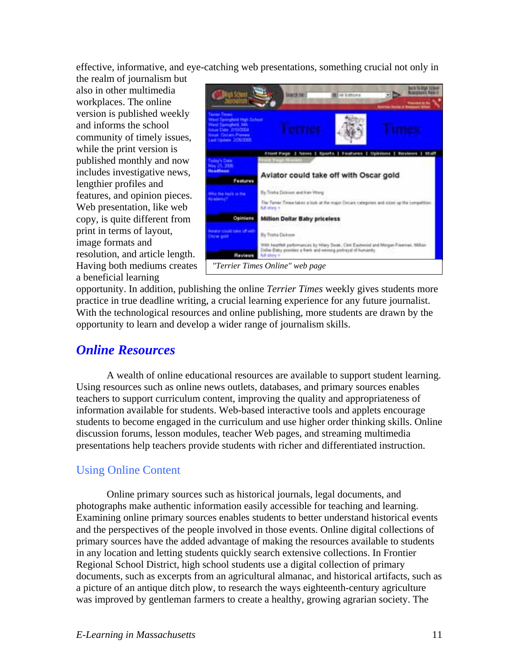effective, informative, and eye-catching web presentations, something crucial not only in the realm of journalism but

also in other multimedia workplaces. The online version is published weekly and informs the school community of timely issues, while the print version is published monthly and now includes investigative news, lengthier profiles and features, and opinion pieces. Web presentation, like web copy, is quite different from print in terms of layout, image formats and resolution, and article length. Having both mediums creates a beneficial learning



opportunity. In addition, publishing the online *Terrier Times* weekly gives students more practice in true deadline writing, a crucial learning experience for any future journalist. With the technological resources and online publishing, more students are drawn by the opportunity to learn and develop a wider range of journalism skills.

### *Online Resources*

A wealth of online educational resources are available to support student learning. Using resources such as online news outlets, databases, and primary sources enables teachers to support curriculum content, improving the quality and appropriateness of information available for students. Web-based interactive tools and applets encourage students to become engaged in the curriculum and use higher order thinking skills. Online discussion forums, lesson modules, teacher Web pages, and streaming multimedia presentations help teachers provide students with richer and differentiated instruction.

### Using Online Content

Online primary sources such as historical journals, legal documents, and photographs make authentic information easily accessible for teaching and learning. Examining online primary sources enables students to better understand historical events and the perspectives of the people involved in those events. Online digital collections of primary sources have the added advantage of making the resources available to students in any location and letting students quickly search extensive collections. In Frontier Regional School District, high school students use a digital collection of primary documents, such as excerpts from an agricultural almanac, and historical artifacts, such as a picture of an antique ditch plow, to research the ways eighteenth-century agriculture was improved by gentleman farmers to create a healthy, growing agrarian society. The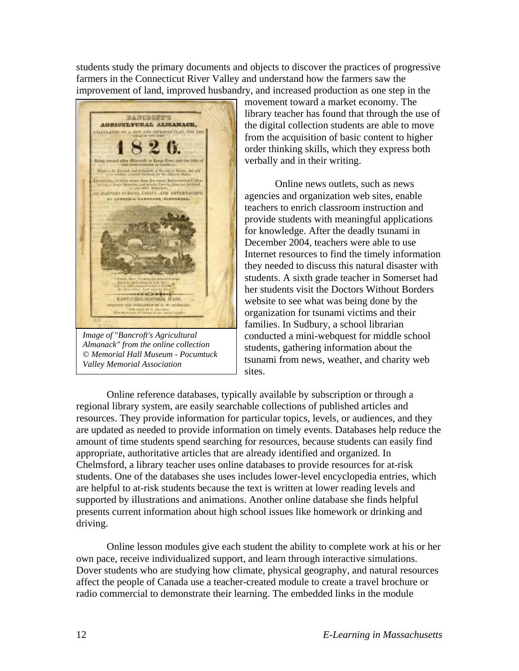students study the primary documents and objects to discover the practices of progressive farmers in the Connecticut River Valley and understand how the farmers saw the improvement of land, improved husbandry, and increased production as one step in the



*Image of* "*Bancroft's Agricultural Almanack" from the online collection © Memorial Hall Museum - Pocumtuck Valley Memorial Association* 

movement toward a market economy. The library teacher has found that through the use of the digital collection students are able to move from the acquisition of basic content to higher order thinking skills, which they express both verbally and in their writing.

Online news outlets, such as news agencies and organization web sites, enable teachers to enrich classroom instruction and provide students with meaningful applications for knowledge. After the deadly tsunami in December 2004, teachers were able to use Internet resources to find the timely information they needed to discuss this natural disaster with students. A sixth grade teacher in Somerset had her students visit the Doctors Without Borders website to see what was being done by the organization for tsunami victims and their families. In Sudbury, a school librarian conducted a mini-webquest for middle school students, gathering information about the tsunami from news, weather, and charity web sites.

Online reference databases, typically available by subscription or through a regional library system, are easily searchable collections of published articles and resources. They provide information for particular topics, levels, or audiences, and they are updated as needed to provide information on timely events. Databases help reduce the amount of time students spend searching for resources, because students can easily find appropriate, authoritative articles that are already identified and organized. In Chelmsford, a library teacher uses online databases to provide resources for at-risk students. One of the databases she uses includes lower-level encyclopedia entries, which are helpful to at-risk students because the text is written at lower reading levels and supported by illustrations and animations. Another online database she finds helpful presents current information about high school issues like homework or drinking and driving.

Online lesson modules give each student the ability to complete work at his or her own pace, receive individualized support, and learn through interactive simulations. Dover students who are studying how climate, physical geography, and natural resources affect the people of Canada use a teacher-created module to create a travel brochure or radio commercial to demonstrate their learning. The embedded links in the module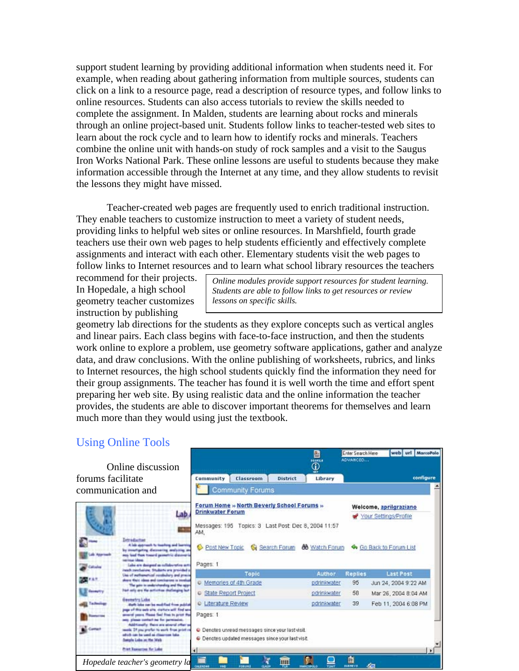support student learning by providing additional information when students need it. For example, when reading about gathering information from multiple sources, students can click on a link to a resource page, read a description of resource types, and follow links to online resources. Students can also access tutorials to review the skills needed to complete the assignment. In Malden, students are learning about rocks and minerals through an online project-based unit. Students follow links to teacher-tested web sites to learn about the rock cycle and to learn how to identify rocks and minerals. Teachers combine the online unit with hands-on study of rock samples and a visit to the Saugus Iron Works National Park. These online lessons are useful to students because they make information accessible through the Internet at any time, and they allow students to revisit the lessons they might have missed.

Teacher-created web pages are frequently used to enrich traditional instruction. They enable teachers to customize instruction to meet a variety of student needs, providing links to helpful web sites or online resources. In Marshfield, fourth grade teachers use their own web pages to help students efficiently and effectively complete assignments and interact with each other. Elementary students visit the web pages to follow links to Internet resources and to learn what school library resources the teachers

recommend for their projects. In Hopedale, a high school geometry teacher customizes instruction by publishing

*Online modules provide support resources for student learning. Students are able to follow links to get resources or review lessons on specific skills.* 

geometry lab directions for the students as they explore concepts such as vertical angles and linear pairs. Each class begins with face-to-face instruction, and then the students work online to explore a problem, use geometry software applications, gather and analyze data, and draw conclusions. With the online publishing of worksheets, rubrics, and links to Internet resources, the high school students quickly find the information they need for their group assignments. The teacher has found it is well worth the time and effort spent preparing her web site. By using realistic data and the online information the teacher provides, the students are able to discover important theorems for themselves and learn much more than they would using just the textbook.

#### Using Online Tools

| Online discussion                                                                                                                                                                                                                                                                                              |                                                                                                                                     | 圕<br>000031<br>Ф | ADVANCEO       |                                                 |
|----------------------------------------------------------------------------------------------------------------------------------------------------------------------------------------------------------------------------------------------------------------------------------------------------------------|-------------------------------------------------------------------------------------------------------------------------------------|------------------|----------------|-------------------------------------------------|
| forums facilitate                                                                                                                                                                                                                                                                                              | Classroom<br>District<br>Community                                                                                                  | Library          |                | configure                                       |
| communication and                                                                                                                                                                                                                                                                                              | <b>Community Forums</b>                                                                                                             |                  |                |                                                 |
| 510                                                                                                                                                                                                                                                                                                            | Forum Home » North Beverly School Forums »<br><b>Drinkwater Forum</b><br>Messages: 195 Topics: 3 Last Post Dec 8, 2004 11:57<br>AM. |                  |                | Welcome, aprilgraziano<br>Your Settings/Profile |
|                                                                                                                                                                                                                                                                                                                |                                                                                                                                     |                  |                |                                                 |
| Intraductus<br>A lob quartant to tophing and burning<br>by meetingstry discovering analyzing at<br>nos lauf flom tonard prometric discoverie<br>Apprised:<br><b>Milled</b> Mass<br>Lake are designed as inflator whose setti                                                                                   | O<br>Post New Toolc<br>Search Forum<br>Pages: 1                                                                                     | 66 Watch Forum   |                | Go Back to Forum List                           |
| insub conclusion, Students are provided a<br>Use of exchanges and condischery and presis                                                                                                                                                                                                                       | Topic                                                                                                                               | Author           | <b>Replies</b> | <b>Last Post</b>                                |
| share their ideas and coocharene is insulus<br>The gain in analytehending and the ager                                                                                                                                                                                                                         | C Memories of 4th Grade                                                                                                             | pdrinkwater      | 95             | Jun 24, 2004 9:22 AM                            |
| had why are the activities shallenging fact                                                                                                                                                                                                                                                                    | State Report Project                                                                                                                | pdrinkwater      | 58             | Mar 26, 2004 8:04 AM                            |
| <b>Geometry Luke</b><br>Math John car be multified from publish                                                                                                                                                                                                                                                | C Literature Review                                                                                                                 | pdrinkwater      | 39             | Feb 11, 2004 6:08 PM                            |
| jogs of this sells arts, markets will find sen<br>property passes. Massed Seal Free to print the<br>see please contact me for permission.<br>Additionally. Base are strand offer as<br>and a<br>teach. If you profin to such from print a<br>aducts can be used as climations lake.<br>Swephy Labo on the Work | Pages: 1<br>O Denotes unread messages since your last visit.<br>C Denotes updated messages since your last visit.                   |                  |                |                                                 |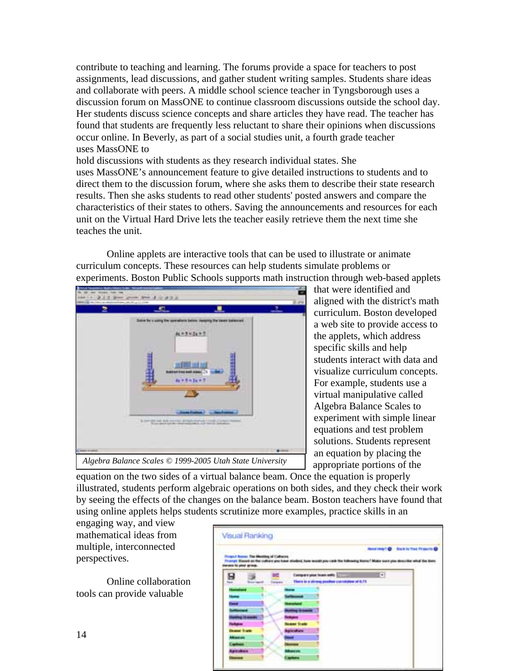contribute to teaching and learning. The forums provide a space for teachers to post assignments, lead discussions, and gather student writing samples. Students share ideas and collaborate with peers. A middle school science teacher in Tyngsborough uses a discussion forum on MassONE to continue classroom discussions outside the school day. Her students discuss science concepts and share articles they have read. The teacher has found that students are frequently less reluctant to share their opinions when discussions occur online. In Beverly, as part of a social studies unit, a fourth grade teacher uses MassONE to

hold discussions with students as they research individual states. She uses MassONE's announcement feature to give detailed instructions to students and to direct them to the discussion forum, where she asks them to describe their state research results. Then she asks students to read other students' posted answers and compare the characteristics of their states to others. Saving the announcements and resources for each unit on the Virtual Hard Drive lets the teacher easily retrieve them the next time she teaches the unit.

Online applets are interactive tools that can be used to illustrate or animate curriculum concepts. These resources can help students simulate problems or experiments. Boston Public Schools supports math instruction through web-based applets



that were identified and aligned with the district's math curriculum. Boston developed a web site to provide access to the applets, which address specific skills and help students interact with data and visualize curriculum concepts. For example, students use a virtual manipulative called Algebra Balance Scales to experiment with simple linear equations and test problem solutions. Students represent an equation by placing the appropriate portions of the

equation on the two sides of a virtual balance beam. Once the equation is properly illustrated, students perform algebraic operations on both sides, and they check their work by seeing the effects of the changes on the balance beam. Boston teachers have found that using online applets helps students scrutinize more examples, practice skills in an

engaging way, and view mathematical ideas from multiple, interconnected perspectives.

Online collaboration tools can provide valuable

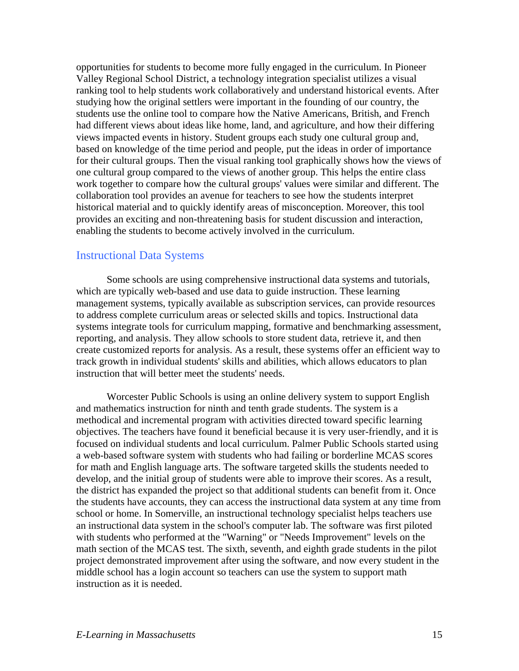opportunities for students to become more fully engaged in the curriculum. In Pioneer Valley Regional School District, a technology integration specialist utilizes a visual ranking tool to help students work collaboratively and understand historical events. After studying how the original settlers were important in the founding of our country, the students use the online tool to compare how the Native Americans, British, and French had different views about ideas like home, land, and agriculture, and how their differing views impacted events in history. Student groups each study one cultural group and, based on knowledge of the time period and people, put the ideas in order of importance for their cultural groups. Then the visual ranking tool graphically shows how the views of one cultural group compared to the views of another group. This helps the entire class work together to compare how the cultural groups' values were similar and different. The collaboration tool provides an avenue for teachers to see how the students interpret historical material and to quickly identify areas of misconception. Moreover, this tool provides an exciting and non-threatening basis for student discussion and interaction, enabling the students to become actively involved in the curriculum.

#### Instructional Data Systems

Some schools are using comprehensive instructional data systems and tutorials, which are typically web-based and use data to guide instruction. These learning management systems, typically available as subscription services, can provide resources to address complete curriculum areas or selected skills and topics. Instructional data systems integrate tools for curriculum mapping, formative and benchmarking assessment, reporting, and analysis. They allow schools to store student data, retrieve it, and then create customized reports for analysis. As a result, these systems offer an efficient way to track growth in individual students' skills and abilities, which allows educators to plan instruction that will better meet the students' needs.

Worcester Public Schools is using an online delivery system to support English and mathematics instruction for ninth and tenth grade students. The system is a methodical and incremental program with activities directed toward specific learning objectives. The teachers have found it beneficial because it is very user-friendly, and it is focused on individual students and local curriculum. Palmer Public Schools started using a web-based software system with students who had failing or borderline MCAS scores for math and English language arts. The software targeted skills the students needed to develop, and the initial group of students were able to improve their scores. As a result, the district has expanded the project so that additional students can benefit from it. Once the students have accounts, they can access the instructional data system at any time from school or home. In Somerville, an instructional technology specialist helps teachers use an instructional data system in the school's computer lab. The software was first piloted with students who performed at the "Warning" or "Needs Improvement" levels on the math section of the MCAS test. The sixth, seventh, and eighth grade students in the pilot project demonstrated improvement after using the software, and now every student in the middle school has a login account so teachers can use the system to support math instruction as it is needed.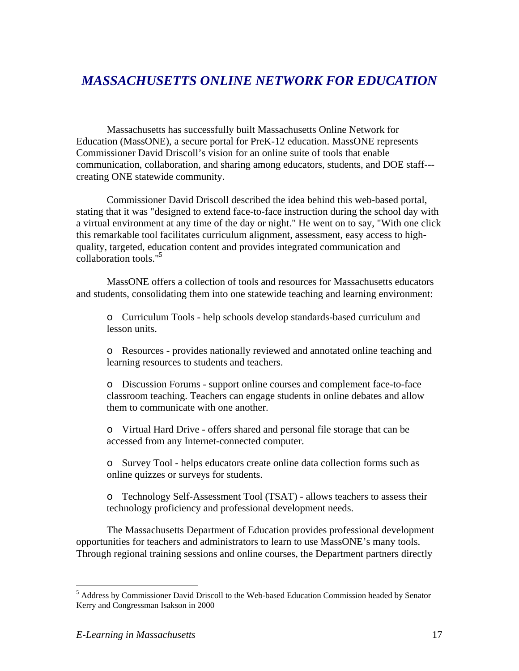# *MASSACHUSETTS ONLINE NETWORK FOR EDUCATION*

Massachusetts has successfully built Massachusetts Online Network for Education (MassONE), a secure portal for PreK-12 education. MassONE represents Commissioner David Driscoll's vision for an online suite of tools that enable communication, collaboration, and sharing among educators, students, and DOE staff-- creating ONE statewide community.

Commissioner David Driscoll described the idea behind this web-based portal, stating that it was "designed to extend face-to-face instruction during the school day with a virtual environment at any time of the day or night." He went on to say, "With one click this remarkable tool facilitates curriculum alignment, assessment, easy access to highquality, targeted, education content and provides integrated communication and collaboration tools."<sup>5</sup>

MassONE offers a collection of tools and resources for Massachusetts educators and students, consolidating them into one statewide teaching and learning environment:

o Curriculum Tools - help schools develop standards-based curriculum and lesson units.

o Resources - provides nationally reviewed and annotated online teaching and learning resources to students and teachers.

o Discussion Forums - support online courses and complement face-to-face classroom teaching. Teachers can engage students in online debates and allow them to communicate with one another.

o Virtual Hard Drive - offers shared and personal file storage that can be accessed from any Internet-connected computer.

o Survey Tool - helps educators create online data collection forms such as online quizzes or surveys for students.

o Technology Self-Assessment Tool (TSAT) - allows teachers to assess their technology proficiency and professional development needs.

The Massachusetts Department of Education provides professional development opportunities for teachers and administrators to learn to use MassONE's many tools. Through regional training sessions and online courses, the Department partners directly

1

<sup>&</sup>lt;sup>5</sup> Address by Commissioner David Driscoll to the Web-based Education Commission headed by Senator Kerry and Congressman Isakson in 2000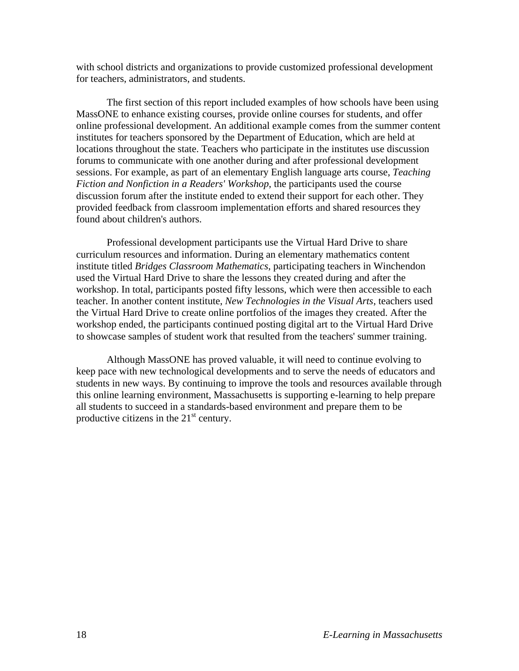with school districts and organizations to provide customized professional development for teachers, administrators, and students.

The first section of this report included examples of how schools have been using MassONE to enhance existing courses, provide online courses for students, and offer online professional development. An additional example comes from the summer content institutes for teachers sponsored by the Department of Education, which are held at locations throughout the state. Teachers who participate in the institutes use discussion forums to communicate with one another during and after professional development sessions. For example, as part of an elementary English language arts course, *Teaching Fiction and Nonfiction in a Readers' Workshop*, the participants used the course discussion forum after the institute ended to extend their support for each other. They provided feedback from classroom implementation efforts and shared resources they found about children's authors.

Professional development participants use the Virtual Hard Drive to share curriculum resources and information. During an elementary mathematics content institute titled *Bridges Classroom Mathematics*, participating teachers in Winchendon used the Virtual Hard Drive to share the lessons they created during and after the workshop. In total, participants posted fifty lessons, which were then accessible to each teacher. In another content institute, *New Technologies in the Visual Arts*, teachers used the Virtual Hard Drive to create online portfolios of the images they created. After the workshop ended, the participants continued posting digital art to the Virtual Hard Drive to showcase samples of student work that resulted from the teachers' summer training.

Although MassONE has proved valuable, it will need to continue evolving to keep pace with new technological developments and to serve the needs of educators and students in new ways. By continuing to improve the tools and resources available through this online learning environment, Massachusetts is supporting e-learning to help prepare all students to succeed in a standards-based environment and prepare them to be productive citizens in the  $21<sup>st</sup>$  century.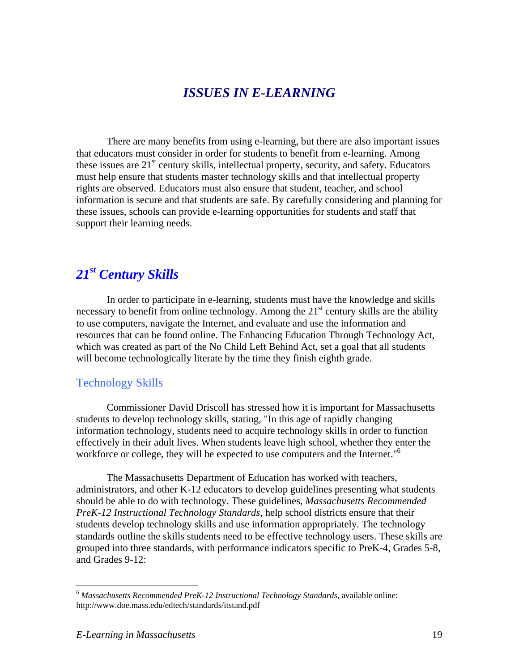### *ISSUES IN E-LEARNING*

There are many benefits from using e-learning, but there are also important issues that educators must consider in order for students to benefit from e-learning. Among these issues are  $21<sup>st</sup>$  century skills, intellectual property, security, and safety. Educators must help ensure that students master technology skills and that intellectual property rights are observed. Educators must also ensure that student, teacher, and school information is secure and that students are safe. By carefully considering and planning for these issues, schools can provide e-learning opportunities for students and staff that support their learning needs.

# *21st Century Skills*

In order to participate in e-learning, students must have the knowledge and skills necessary to benefit from online technology. Among the  $21<sup>st</sup>$  century skills are the ability to use computers, navigate the Internet, and evaluate and use the information and resources that can be found online. The Enhancing Education Through Technology Act, which was created as part of the No Child Left Behind Act, set a goal that all students will become technologically literate by the time they finish eighth grade.

#### Technology Skills

Commissioner David Driscoll has stressed how it is important for Massachusetts students to develop technology skills, stating, "In this age of rapidly changing information technology, students need to acquire technology skills in order to function effectively in their adult lives. When students leave high school, whether they enter the workforce or college, they will be expected to use computers and the Internet."<sup>6</sup>

The Massachusetts Department of Education has worked with teachers, administrators, and other K-12 educators to develop guidelines presenting what students should be able to do with technology. These guidelines, *Massachusetts Recommended PreK-12 Instructional Technology Standards*, help school districts ensure that their students develop technology skills and use information appropriately. The technology standards outline the skills students need to be effective technology users. These skills are grouped into three standards, with performance indicators specific to PreK-4, Grades 5-8, and Grades 9-12:

 $\overline{a}$ 

<sup>6</sup> *Massachusetts Recommended PreK-12 Instructional Technology Standards*, available online: http://www.doe.mass.edu/edtech/standards/itstand.pdf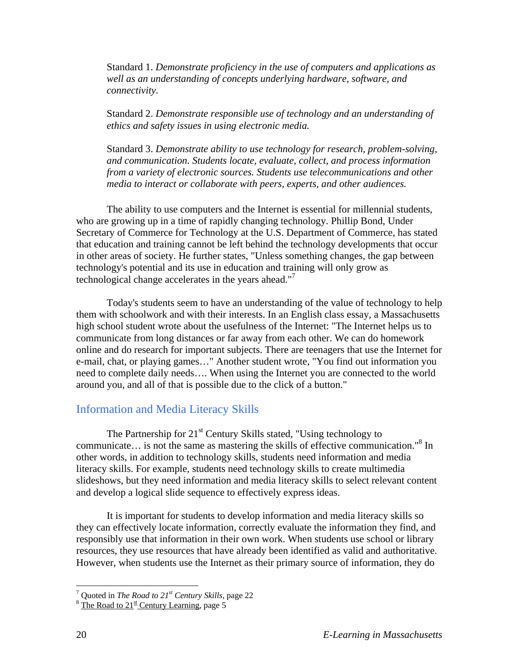Standard 1. *Demonstrate proficiency in the use of computers and applications as well as an understanding of concepts underlying hardware, software, and connectivity.*

Standard 2. *Demonstrate responsible use of technology and an understanding of ethics and safety issues in using electronic media.* 

Standard 3. *Demonstrate ability to use technology for research, problem-solving, and communication. Students locate, evaluate, collect, and process information from a variety of electronic sources. Students use telecommunications and other media to interact or collaborate with peers, experts, and other audiences.*

The ability to use computers and the Internet is essential for millennial students, who are growing up in a time of rapidly changing technology. Phillip Bond, Under Secretary of Commerce for Technology at the U.S. Department of Commerce, has stated that education and training cannot be left behind the technology developments that occur in other areas of society. He further states, "Unless something changes, the gap between technology's potential and its use in education and training will only grow as technological change accelerates in the years ahead."7

Today's students seem to have an understanding of the value of technology to help them with schoolwork and with their interests. In an English class essay, a Massachusetts high school student wrote about the usefulness of the Internet: "The Internet helps us to communicate from long distances or far away from each other. We can do homework online and do research for important subjects. There are teenagers that use the Internet for e-mail, chat, or playing games…" Another student wrote, "You find out information you need to complete daily needs…. When using the Internet you are connected to the world around you, and all of that is possible due to the click of a button."

#### Information and Media Literacy Skills

The Partnership for 21<sup>st</sup> Century Skills stated, "Using technology to communicate... is not the same as mastering the skills of effective communication."<sup>8</sup> In other words, in addition to technology skills, students need information and media literacy skills. For example, students need technology skills to create multimedia slideshows, but they need information and media literacy skills to select relevant content and develop a logical slide sequence to effectively express ideas.

It is important for students to develop information and media literacy skills so they can effectively locate information, correctly evaluate the information they find, and responsibly use that information in their own work. When students use school or library resources, they use resources that have already been identified as valid and authoritative. However, when students use the Internet as their primary source of information, they do

1

<sup>&</sup>lt;sup>7</sup> Quoted in *The Road to 21<sup>st</sup> Century Skills*, page 22 <sup>8</sup> The Road to 21<sup>st</sup> Century Learning, page 5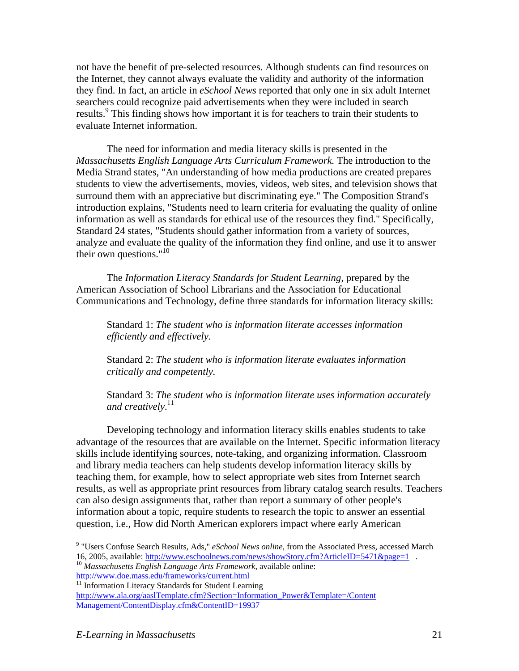not have the benefit of pre-selected resources. Although students can find resources on the Internet, they cannot always evaluate the validity and authority of the information they find. In fact, an article in *eSchool News* reported that only one in six adult Internet searchers could recognize paid advertisements when they were included in search results.<sup>9</sup> This finding shows how important it is for teachers to train their students to evaluate Internet information.

The need for information and media literacy skills is presented in the *Massachusetts English Language Arts Curriculum Framework.* The introduction to the Media Strand states, "An understanding of how media productions are created prepares students to view the advertisements, movies, videos, web sites, and television shows that surround them with an appreciative but discriminating eye." The Composition Strand's introduction explains, "Students need to learn criteria for evaluating the quality of online information as well as standards for ethical use of the resources they find." Specifically, Standard 24 states, "Students should gather information from a variety of sources, analyze and evaluate the quality of the information they find online, and use it to answer their own questions." $10$ 

The *Information Literacy Standards for Student Learning*, prepared by the American Association of School Librarians and the Association for Educational Communications and Technology, define three standards for information literacy skills:

Standard 1: *The student who is information literate accesses information efficiently and effectively.* 

Standard 2: *The student who is information literate evaluates information critically and competently.* 

Standard 3: *The student who is information literate uses information accurately and creatively*. 11

Developing technology and information literacy skills enables students to take advantage of the resources that are available on the Internet. Specific information literacy skills include identifying sources, note-taking, and organizing information. Classroom and library media teachers can help students develop information literacy skills by teaching them, for example, how to select appropriate web sites from Internet search results, as well as appropriate print resources from library catalog search results. Teachers can also design assignments that, rather than report a summary of other people's information about a topic, require students to research the topic to answer an essential question, i.e., How did North American explorers impact where early American

 $\overline{a}$ 

<sup>9</sup> "Users Confuse Search Results, Ads," *eSchool News online*, from the Associated Press, accessed March 16, 2005, available: http://www.eschoolnews.com/news/showStory.cfm?ArticleID=5471&page=1 . 10 *Massachusetts English Language Arts Framework*, available online:

http://www.doe.mass.edu/frameworks/current.html<br><sup>11</sup> Information Literacy Standards for Student Learning

http://www.ala.org/aaslTemplate.cfm?Section=Information\_Power&Template=/Content Management/ContentDisplay.cfm&ContentID=19937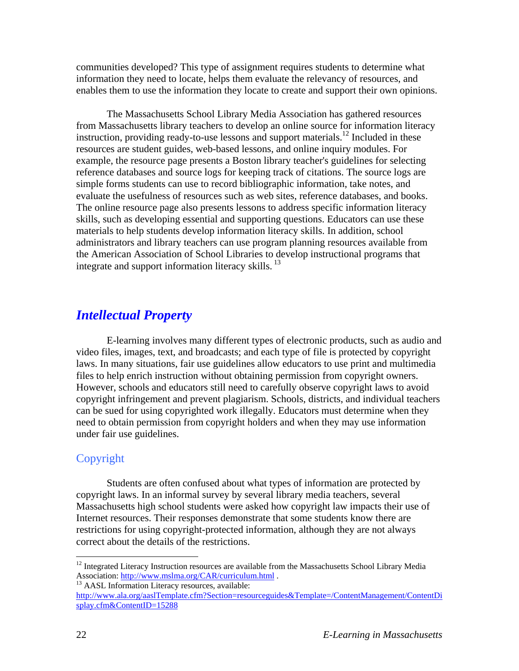communities developed? This type of assignment requires students to determine what information they need to locate, helps them evaluate the relevancy of resources, and enables them to use the information they locate to create and support their own opinions.

The Massachusetts School Library Media Association has gathered resources from Massachusetts library teachers to develop an online source for information literacy instruction, providing ready-to-use lessons and support materials.<sup>12</sup> Included in these resources are student guides, web-based lessons, and online inquiry modules. For example, the resource page presents a Boston library teacher's guidelines for selecting reference databases and source logs for keeping track of citations. The source logs are simple forms students can use to record bibliographic information, take notes, and evaluate the usefulness of resources such as web sites, reference databases, and books. The online resource page also presents lessons to address specific information literacy skills, such as developing essential and supporting questions. Educators can use these materials to help students develop information literacy skills. In addition, school administrators and library teachers can use program planning resources available from the American Association of School Libraries to develop instructional programs that integrate and support information literacy skills.<sup>13</sup>

### *Intellectual Property*

E-learning involves many different types of electronic products, such as audio and video files, images, text, and broadcasts; and each type of file is protected by copyright laws. In many situations, fair use guidelines allow educators to use print and multimedia files to help enrich instruction without obtaining permission from copyright owners. However, schools and educators still need to carefully observe copyright laws to avoid copyright infringement and prevent plagiarism. Schools, districts, and individual teachers can be sued for using copyrighted work illegally. Educators must determine when they need to obtain permission from copyright holders and when they may use information under fair use guidelines.

#### Copyright

Students are often confused about what types of information are protected by copyright laws. In an informal survey by several library media teachers, several Massachusetts high school students were asked how copyright law impacts their use of Internet resources. Their responses demonstrate that some students know there are restrictions for using copyright-protected information, although they are not always correct about the details of the restrictions.

 $\overline{a}$ 

<sup>&</sup>lt;sup>12</sup> Integrated Literacy Instruction resources are available from the Massachusetts School Library Media Association: http://www.mslma.org/CAR/curriculum.html .<br><sup>13</sup> AASL Information Literacy resources, available:

http://www.ala.org/aaslTemplate.cfm?Section=resourceguides&Template=/ContentManagement/ContentDi splay.cfm&ContentID=15288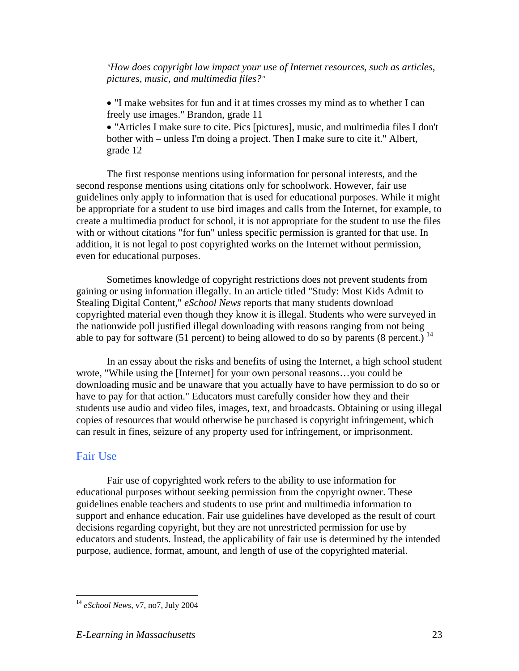*"How does copyright law impact your use of Internet resources, such as articles, pictures, music, and multimedia files?"*

• "I make websites for fun and it at times crosses my mind as to whether I can freely use images." Brandon, grade 11

• "Articles I make sure to cite. Pics [pictures], music, and multimedia files I don't bother with – unless I'm doing a project. Then I make sure to cite it." Albert, grade 12

The first response mentions using information for personal interests, and the second response mentions using citations only for schoolwork. However, fair use guidelines only apply to information that is used for educational purposes. While it might be appropriate for a student to use bird images and calls from the Internet, for example, to create a multimedia product for school, it is not appropriate for the student to use the files with or without citations "for fun" unless specific permission is granted for that use. In addition, it is not legal to post copyrighted works on the Internet without permission, even for educational purposes.

Sometimes knowledge of copyright restrictions does not prevent students from gaining or using information illegally. In an article titled "Study: Most Kids Admit to Stealing Digital Content," *eSchool News* reports that many students download copyrighted material even though they know it is illegal. Students who were surveyed in the nationwide poll justified illegal downloading with reasons ranging from not being able to pay for software (51 percent) to being allowed to do so by parents (8 percent.)  $14$ 

In an essay about the risks and benefits of using the Internet, a high school student wrote, "While using the [Internet] for your own personal reasons…you could be downloading music and be unaware that you actually have to have permission to do so or have to pay for that action." Educators must carefully consider how they and their students use audio and video files, images, text, and broadcasts. Obtaining or using illegal copies of resources that would otherwise be purchased is copyright infringement, which can result in fines, seizure of any property used for infringement, or imprisonment.

#### Fair Use

 $\overline{a}$ 

Fair use of copyrighted work refers to the ability to use information for educational purposes without seeking permission from the copyright owner. These guidelines enable teachers and students to use print and multimedia information to support and enhance education. Fair use guidelines have developed as the result of court decisions regarding copyright, but they are not unrestricted permission for use by educators and students. Instead, the applicability of fair use is determined by the intended purpose, audience, format, amount, and length of use of the copyrighted material.

<sup>14</sup> *eSchool News*, v7, no7, July 2004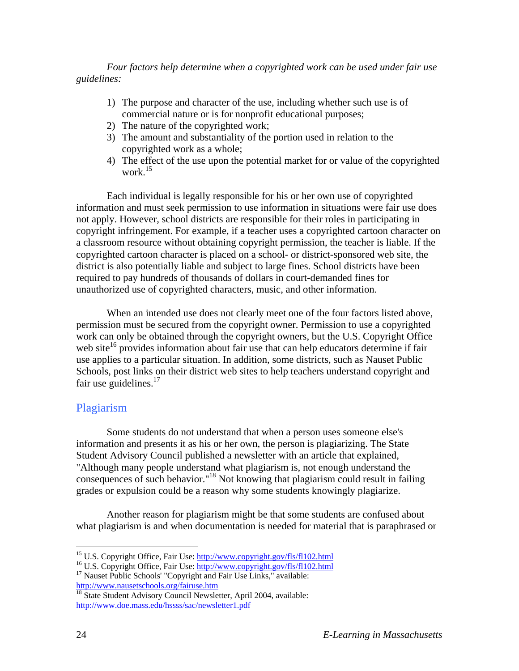*Four factors help determine when a copyrighted work can be used under fair use guidelines:* 

- 1) The purpose and character of the use, including whether such use is of commercial nature or is for nonprofit educational purposes;
- 2) The nature of the copyrighted work;
- 3) The amount and substantiality of the portion used in relation to the copyrighted work as a whole;
- 4) The effect of the use upon the potential market for or value of the copyrighted work.<sup>15</sup>

Each individual is legally responsible for his or her own use of copyrighted information and must seek permission to use information in situations were fair use does not apply. However, school districts are responsible for their roles in participating in copyright infringement. For example, if a teacher uses a copyrighted cartoon character on a classroom resource without obtaining copyright permission, the teacher is liable. If the copyrighted cartoon character is placed on a school- or district-sponsored web site, the district is also potentially liable and subject to large fines. School districts have been required to pay hundreds of thousands of dollars in court-demanded fines for unauthorized use of copyrighted characters, music, and other information.

When an intended use does not clearly meet one of the four factors listed above, permission must be secured from the copyright owner. Permission to use a copyrighted work can only be obtained through the copyright owners, but the U.S. Copyright Office web site<sup>16</sup> provides information about fair use that can help educators determine if fair use applies to a particular situation. In addition, some districts, such as Nauset Public Schools, post links on their district web sites to help teachers understand copyright and fair use guidelines. $17$ 

#### Plagiarism

Some students do not understand that when a person uses someone else's information and presents it as his or her own, the person is plagiarizing. The State Student Advisory Council published a newsletter with an article that explained, "Although many people understand what plagiarism is, not enough understand the consequences of such behavior."18 Not knowing that plagiarism could result in failing grades or expulsion could be a reason why some students knowingly plagiarize.

Another reason for plagiarism might be that some students are confused about what plagiarism is and when documentation is needed for material that is paraphrased or

<sup>&</sup>lt;sup>15</sup> U.S. Copyright Office, Fair Use: http://www.copyright.gov/fls/fl102.html

<sup>&</sup>lt;sup>16</sup> U.S. Copyright Office, Fair Use:  $\frac{http://www.copyright.gov/fls/fl102.html}{http://www.copyright.gov/fls/fl102.html}$ <br><sup>17</sup> Nauset Public Schools' "Copyright and Fair Use Links," available:

http://www.nausetschools.org/fairuse.htm<br>
<sup>18</sup> State Student Advisory Council Newsletter, April 2004, available:

http://www.doe.mass.edu/hssss/sac/newsletter1.pdf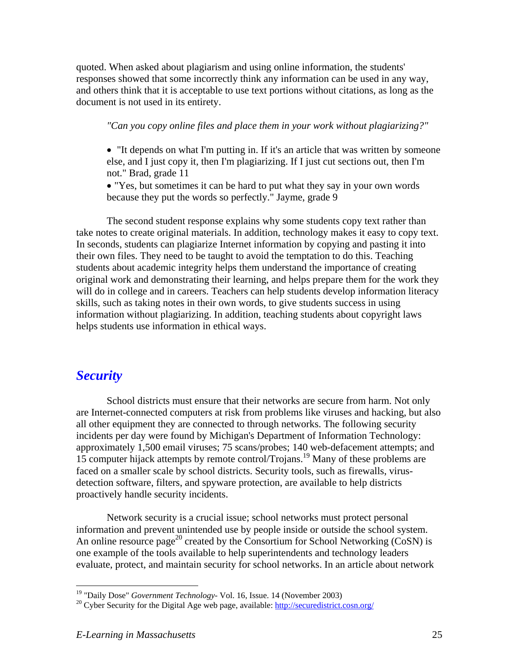quoted. When asked about plagiarism and using online information, the students' responses showed that some incorrectly think any information can be used in any way, and others think that it is acceptable to use text portions without citations, as long as the document is not used in its entirety.

*"Can you copy online files and place them in your work without plagiarizing?"* 

• "It depends on what I'm putting in. If it's an article that was written by someone else, and I just copy it, then I'm plagiarizing. If I just cut sections out, then I'm not." Brad, grade 11

• "Yes, but sometimes it can be hard to put what they say in your own words because they put the words so perfectly." Jayme, grade 9

The second student response explains why some students copy text rather than take notes to create original materials. In addition, technology makes it easy to copy text. In seconds, students can plagiarize Internet information by copying and pasting it into their own files. They need to be taught to avoid the temptation to do this. Teaching students about academic integrity helps them understand the importance of creating original work and demonstrating their learning, and helps prepare them for the work they will do in college and in careers. Teachers can help students develop information literacy skills, such as taking notes in their own words, to give students success in using information without plagiarizing. In addition, teaching students about copyright laws helps students use information in ethical ways.

### *Security*

School districts must ensure that their networks are secure from harm. Not only are Internet-connected computers at risk from problems like viruses and hacking, but also all other equipment they are connected to through networks. The following security incidents per day were found by Michigan's Department of Information Technology: approximately 1,500 email viruses; 75 scans/probes; 140 web-defacement attempts; and 15 computer hijack attempts by remote control/Trojans.19 Many of these problems are faced on a smaller scale by school districts. Security tools, such as firewalls, virusdetection software, filters, and spyware protection, are available to help districts proactively handle security incidents.

Network security is a crucial issue; school networks must protect personal information and prevent unintended use by people inside or outside the school system. An online resource page<sup>20</sup> created by the Consortium for School Networking (CoSN) is one example of the tools available to help superintendents and technology leaders evaluate, protect, and maintain security for school networks. In an article about network

<sup>&</sup>lt;sup>19</sup> "Daily Dose" Government Technology- Vol. 16, Issue. 14 (November 2003)

<sup>&</sup>lt;sup>20</sup> Cyber Security for the Digital Age web page, available: http://securedistrict.cosn.org/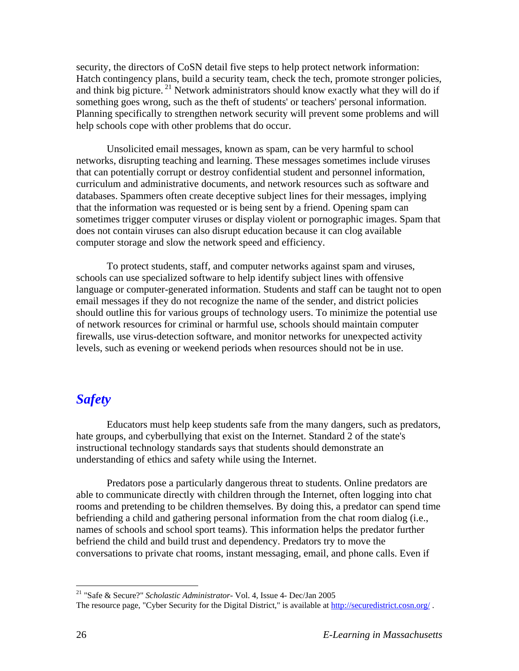security, the directors of CoSN detail five steps to help protect network information: Hatch contingency plans, build a security team, check the tech, promote stronger policies, and think big picture.<sup>21</sup> Network administrators should know exactly what they will do if something goes wrong, such as the theft of students' or teachers' personal information. Planning specifically to strengthen network security will prevent some problems and will help schools cope with other problems that do occur.

Unsolicited email messages, known as spam, can be very harmful to school networks, disrupting teaching and learning. These messages sometimes include viruses that can potentially corrupt or destroy confidential student and personnel information, curriculum and administrative documents, and network resources such as software and databases. Spammers often create deceptive subject lines for their messages, implying that the information was requested or is being sent by a friend. Opening spam can sometimes trigger computer viruses or display violent or pornographic images. Spam that does not contain viruses can also disrupt education because it can clog available computer storage and slow the network speed and efficiency.

To protect students, staff, and computer networks against spam and viruses, schools can use specialized software to help identify subject lines with offensive language or computer-generated information. Students and staff can be taught not to open email messages if they do not recognize the name of the sender, and district policies should outline this for various groups of technology users. To minimize the potential use of network resources for criminal or harmful use, schools should maintain computer firewalls, use virus-detection software, and monitor networks for unexpected activity levels, such as evening or weekend periods when resources should not be in use.

### *Safety*

Educators must help keep students safe from the many dangers, such as predators, hate groups, and cyberbullying that exist on the Internet. Standard 2 of the state's instructional technology standards says that students should demonstrate an understanding of ethics and safety while using the Internet.

Predators pose a particularly dangerous threat to students. Online predators are able to communicate directly with children through the Internet, often logging into chat rooms and pretending to be children themselves. By doing this, a predator can spend time befriending a child and gathering personal information from the chat room dialog (i.e., names of schools and school sport teams). This information helps the predator further befriend the child and build trust and dependency. Predators try to move the conversations to private chat rooms, instant messaging, email, and phone calls. Even if

1

<sup>21 &</sup>quot;Safe & Secure?" *Scholastic Administrator*- Vol. 4, Issue 4- Dec/Jan 2005

The resource page, "Cyber Security for the Digital District," is available at http://securedistrict.cosn.org/.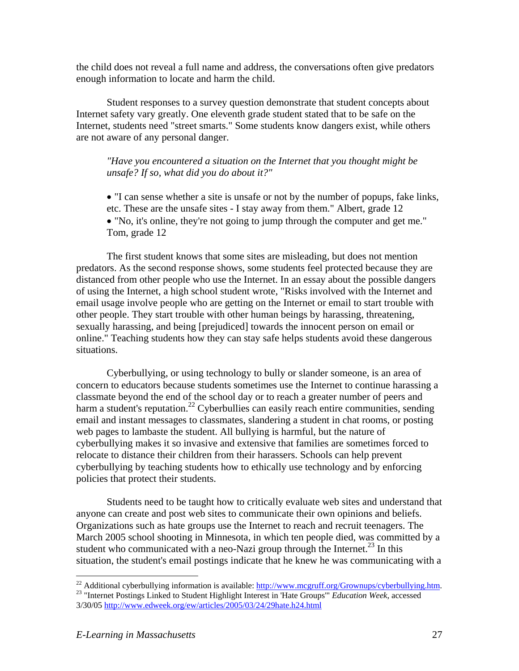the child does not reveal a full name and address, the conversations often give predators enough information to locate and harm the child.

Student responses to a survey question demonstrate that student concepts about Internet safety vary greatly. One eleventh grade student stated that to be safe on the Internet, students need "street smarts." Some students know dangers exist, while others are not aware of any personal danger.

*"Have you encountered a situation on the Internet that you thought might be unsafe? If so, what did you do about it?"* 

• "I can sense whether a site is unsafe or not by the number of popups, fake links, etc. These are the unsafe sites - I stay away from them." Albert, grade 12 • "No, it's online, they're not going to jump through the computer and get me." Tom, grade 12

The first student knows that some sites are misleading, but does not mention predators. As the second response shows, some students feel protected because they are distanced from other people who use the Internet. In an essay about the possible dangers of using the Internet, a high school student wrote, "Risks involved with the Internet and email usage involve people who are getting on the Internet or email to start trouble with other people. They start trouble with other human beings by harassing, threatening, sexually harassing, and being [prejudiced] towards the innocent person on email or online." Teaching students how they can stay safe helps students avoid these dangerous situations.

Cyberbullying, or using technology to bully or slander someone, is an area of concern to educators because students sometimes use the Internet to continue harassing a classmate beyond the end of the school day or to reach a greater number of peers and harm a student's reputation.<sup>22</sup> Cyberbullies can easily reach entire communities, sending email and instant messages to classmates, slandering a student in chat rooms, or posting web pages to lambaste the student. All bullying is harmful, but the nature of cyberbullying makes it so invasive and extensive that families are sometimes forced to relocate to distance their children from their harassers. Schools can help prevent cyberbullying by teaching students how to ethically use technology and by enforcing policies that protect their students.

Students need to be taught how to critically evaluate web sites and understand that anyone can create and post web sites to communicate their own opinions and beliefs. Organizations such as hate groups use the Internet to reach and recruit teenagers. The March 2005 school shooting in Minnesota, in which ten people died, was committed by a student who communicated with a neo-Nazi group through the Internet.<sup>23</sup> In this situation, the student's email postings indicate that he knew he was communicating with a

<sup>&</sup>lt;sup>22</sup> Additional cyberbullying information is available: http://www.mcgruff.org/Grownups/cyberbullying.htm. <sup>23</sup> "Internet Postings Linked to Student Highlight Interest in 'Hate Groups'" *Education Week*, accessed

<sup>3/30/05</sup> http://www.edweek.org/ew/articles/2005/03/24/29hate.h24.html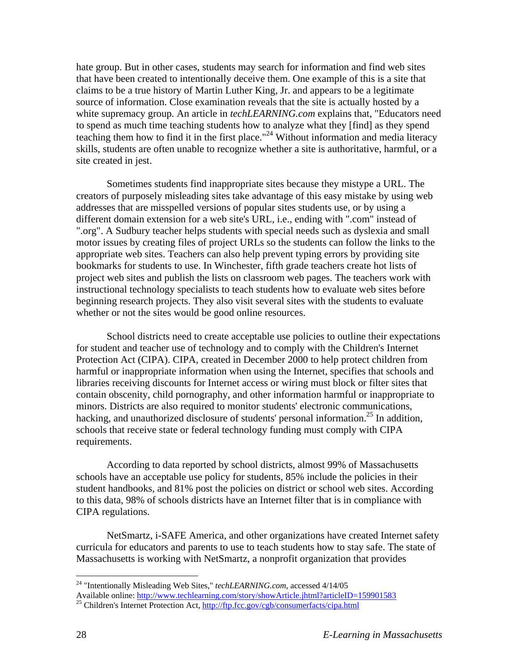hate group. But in other cases, students may search for information and find web sites that have been created to intentionally deceive them. One example of this is a site that claims to be a true history of Martin Luther King, Jr. and appears to be a legitimate source of information. Close examination reveals that the site is actually hosted by a white supremacy group. An article in *techLEARNING.com* explains that, "Educators need to spend as much time teaching students how to analyze what they [find] as they spend teaching them how to find it in the first place."24 Without information and media literacy skills, students are often unable to recognize whether a site is authoritative, harmful, or a site created in jest.

Sometimes students find inappropriate sites because they mistype a URL. The creators of purposely misleading sites take advantage of this easy mistake by using web addresses that are misspelled versions of popular sites students use, or by using a different domain extension for a web site's URL, i.e., ending with ".com" instead of ".org". A Sudbury teacher helps students with special needs such as dyslexia and small motor issues by creating files of project URLs so the students can follow the links to the appropriate web sites. Teachers can also help prevent typing errors by providing site bookmarks for students to use. In Winchester, fifth grade teachers create hot lists of project web sites and publish the lists on classroom web pages. The teachers work with instructional technology specialists to teach students how to evaluate web sites before beginning research projects. They also visit several sites with the students to evaluate whether or not the sites would be good online resources.

School districts need to create acceptable use policies to outline their expectations for student and teacher use of technology and to comply with the Children's Internet Protection Act (CIPA). CIPA, created in December 2000 to help protect children from harmful or inappropriate information when using the Internet, specifies that schools and libraries receiving discounts for Internet access or wiring must block or filter sites that contain obscenity, child pornography, and other information harmful or inappropriate to minors. Districts are also required to monitor students' electronic communications, hacking, and unauthorized disclosure of students' personal information.<sup>25</sup> In addition, schools that receive state or federal technology funding must comply with CIPA requirements.

According to data reported by school districts, almost 99% of Massachusetts schools have an acceptable use policy for students, 85% include the policies in their student handbooks, and 81% post the policies on district or school web sites. According to this data, 98% of schools districts have an Internet filter that is in compliance with CIPA regulations.

NetSmartz, i-SAFE America, and other organizations have created Internet safety curricula for educators and parents to use to teach students how to stay safe. The state of Massachusetts is working with NetSmartz, a nonprofit organization that provides

 $\overline{a}$ 

<sup>24 &</sup>quot;Intentionally Misleading Web Sites," *techLEARNING.com*, accessed 4/14/05

Available online: http://www.techlearning.com/story/showArticle.jhtml?articleID=159901583<sup>25</sup> Children's Internet Protection Act, http://ftp.fcc.gov/cgb/consumerfacts/cipa.html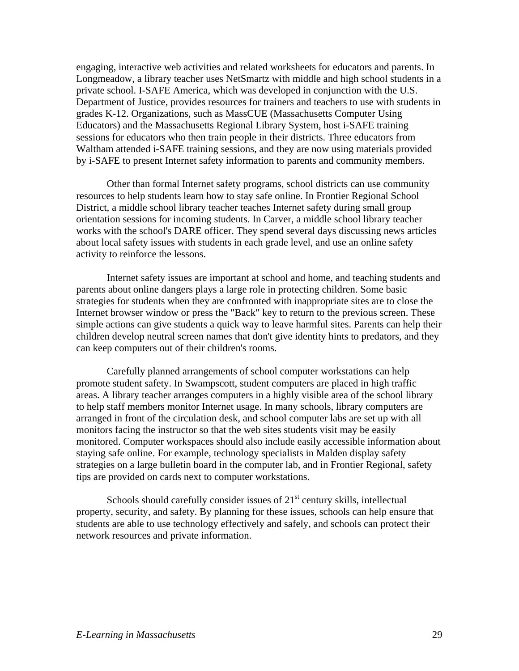engaging, interactive web activities and related worksheets for educators and parents. In Longmeadow, a library teacher uses NetSmartz with middle and high school students in a private school. I-SAFE America, which was developed in conjunction with the U.S. Department of Justice, provides resources for trainers and teachers to use with students in grades K-12. Organizations, such as MassCUE (Massachusetts Computer Using Educators) and the Massachusetts Regional Library System, host i-SAFE training sessions for educators who then train people in their districts. Three educators from Waltham attended i-SAFE training sessions, and they are now using materials provided by i-SAFE to present Internet safety information to parents and community members.

Other than formal Internet safety programs, school districts can use community resources to help students learn how to stay safe online. In Frontier Regional School District, a middle school library teacher teaches Internet safety during small group orientation sessions for incoming students. In Carver, a middle school library teacher works with the school's DARE officer. They spend several days discussing news articles about local safety issues with students in each grade level, and use an online safety activity to reinforce the lessons.

Internet safety issues are important at school and home, and teaching students and parents about online dangers plays a large role in protecting children. Some basic strategies for students when they are confronted with inappropriate sites are to close the Internet browser window or press the "Back" key to return to the previous screen. These simple actions can give students a quick way to leave harmful sites. Parents can help their children develop neutral screen names that don't give identity hints to predators, and they can keep computers out of their children's rooms.

Carefully planned arrangements of school computer workstations can help promote student safety. In Swampscott, student computers are placed in high traffic areas. A library teacher arranges computers in a highly visible area of the school library to help staff members monitor Internet usage. In many schools, library computers are arranged in front of the circulation desk, and school computer labs are set up with all monitors facing the instructor so that the web sites students visit may be easily monitored. Computer workspaces should also include easily accessible information about staying safe online. For example, technology specialists in Malden display safety strategies on a large bulletin board in the computer lab, and in Frontier Regional, safety tips are provided on cards next to computer workstations.

Schools should carefully consider issues of  $21<sup>st</sup>$  century skills, intellectual property, security, and safety. By planning for these issues, schools can help ensure that students are able to use technology effectively and safely, and schools can protect their network resources and private information.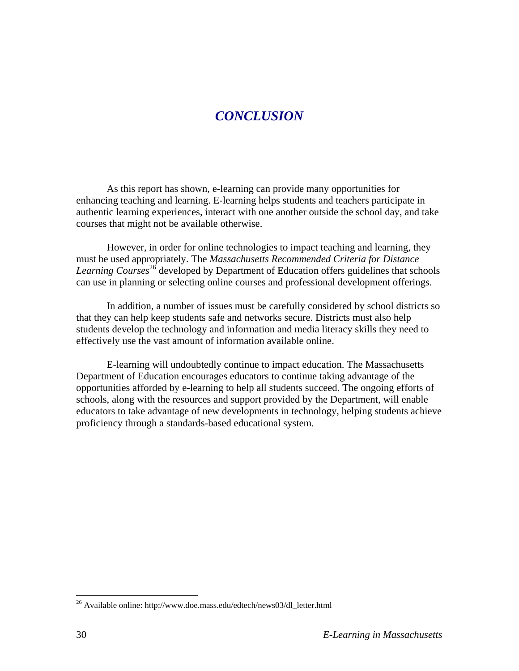### *CONCLUSION*

As this report has shown, e-learning can provide many opportunities for enhancing teaching and learning. E-learning helps students and teachers participate in authentic learning experiences, interact with one another outside the school day, and take courses that might not be available otherwise.

However, in order for online technologies to impact teaching and learning, they must be used appropriately. The *Massachusetts Recommended Criteria for Distance Learning Courses*26 developed by Department of Education offers guidelines that schools can use in planning or selecting online courses and professional development offerings.

In addition, a number of issues must be carefully considered by school districts so that they can help keep students safe and networks secure. Districts must also help students develop the technology and information and media literacy skills they need to effectively use the vast amount of information available online.

E-learning will undoubtedly continue to impact education. The Massachusetts Department of Education encourages educators to continue taking advantage of the opportunities afforded by e-learning to help all students succeed. The ongoing efforts of schools, along with the resources and support provided by the Department, will enable educators to take advantage of new developments in technology, helping students achieve proficiency through a standards-based educational system.

 $\overline{a}$ 

 $^{26}$  Available online: http://www.doe.mass.edu/edtech/news03/dl letter.html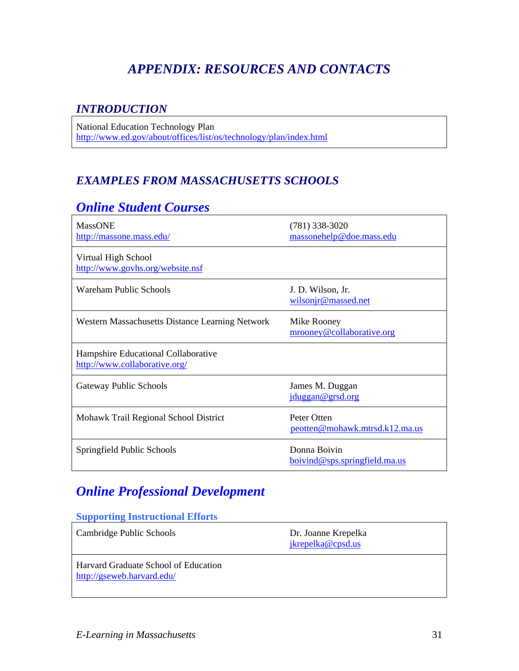# *APPENDIX: RESOURCES AND CONTACTS*

### *INTRODUCTION*

National Education Technology Plan http://www.ed.gov/about/offices/list/os/technology/plan/index.html

### *EXAMPLES FROM MASSACHUSETTS SCHOOLS*

### *Online Student Courses*

| <b>MassONE</b><br>http://massone.mass.edu/                           | $(781)$ 338-3020<br>massonehelp@doe.mass.edu  |
|----------------------------------------------------------------------|-----------------------------------------------|
| Virtual High School<br>http://www.govhs.org/website.nsf              |                                               |
| Wareham Public Schools                                               | J. D. Wilson, Jr.<br>wilsonjr@massed.net      |
| Western Massachusetts Distance Learning Network                      | Mike Rooney<br>mrooney@collaborative.org      |
| Hampshire Educational Collaborative<br>http://www.collaborative.org/ |                                               |
| Gateway Public Schools                                               | James M. Duggan<br>jduggan@grsd.org           |
| Mohawk Trail Regional School District                                | Peter Otten<br>peotten@mohawk.mtrsd.k12.ma.us |
| Springfield Public Schools                                           | Donna Boivin<br>boivind@sps.springfieldma.us  |

# *Online Professional Development*

#### **Supporting Instructional Efforts**

| Cambridge Public Schools                                           | Dr. Joanne Krepelka<br>jkrepelka@cpsd.us |
|--------------------------------------------------------------------|------------------------------------------|
| Harvard Graduate School of Education<br>http://gseweb.harvard.edu/ |                                          |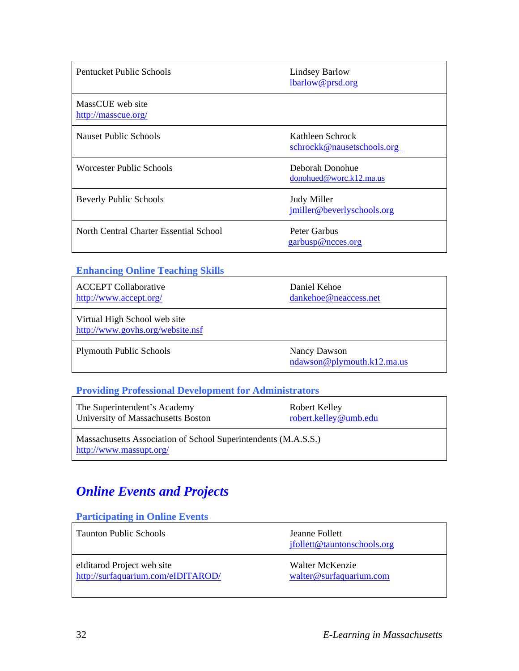| Pentucket Public Schools                | <b>Lindsey Barlow</b><br>lbarlow@prsd.org      |
|-----------------------------------------|------------------------------------------------|
| MassCUE web site<br>http://masscue.org/ |                                                |
| Nauset Public Schools                   | Kathleen Schrock<br>schrockk@nausetschools.org |
| Worcester Public Schools                | Deborah Donohue<br>donohued@worc.k12ma.us      |
| <b>Beverly Public Schools</b>           | Judy Miller<br>jmiller@beverlyschools.org      |
| North Central Charter Essential School  | Peter Garbus<br>garbusp@ncces.org              |

#### **Enhancing Online Teaching Skills**

| <b>ACCEPT Collaborative</b><br>http://www.accept.org/            | Daniel Kehoe<br>dankehoe@neaccess.net      |
|------------------------------------------------------------------|--------------------------------------------|
| Virtual High School web site<br>http://www.govhs.org/website.nsf |                                            |
| <b>Plymouth Public Schools</b>                                   | Nancy Dawson<br>ndawson@plymouth.k12.ma.us |

#### **Providing Professional Development for Administrators**

| The Superintendent's Academy       | Robert Kelley         |
|------------------------------------|-----------------------|
| University of Massachusetts Boston | robert.kelley@umb.edu |
|                                    |                       |

Massachusetts Association of School Superintendents (M.A.S.S.) http://www.massupt.org/

# *Online Events and Projects*

#### **Participating in Online Events**

| <b>Taunton Public Schools</b>      | Jeanne Follett<br>ifollett@tauntonschools.org |
|------------------------------------|-----------------------------------------------|
| elditarod Project web site         | Walter McKenzie                               |
| http://surfaquarium.com/eIDITAROD/ | walter@surfaquarium.com                       |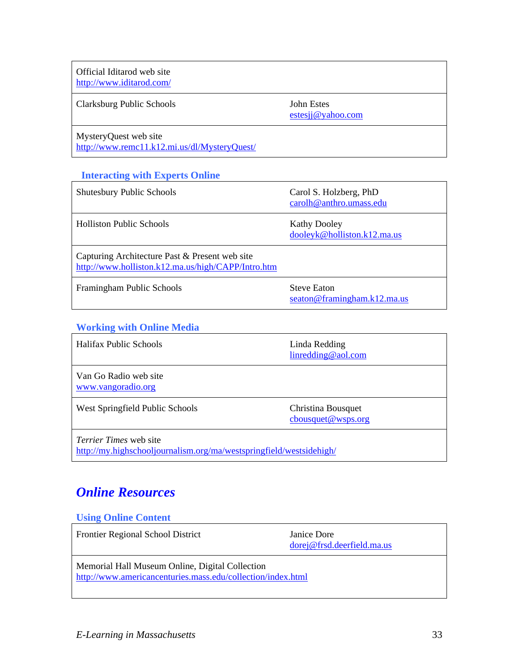Official Iditarod web site http://www.iditarod.com/

Clarksburg Public Schools John Estes

estesjj@yahoo.com

MysteryQuest web site

http://www.remc11.k12.mi.us/dl/MysteryQuest/

#### **Interacting with Experts Online**

| <b>Shutesbury Public Schools</b>                                                                     | Carol S. Holzberg, PhD<br>carolh@anthro.umass.edu  |
|------------------------------------------------------------------------------------------------------|----------------------------------------------------|
| <b>Holliston Public Schools</b>                                                                      | <b>Kathy Dooley</b><br>dooleyk@holliston.k12.ma.us |
| Capturing Architecture Past & Present web site<br>http://www.holliston.k12.ma.us/high/CAPP/Intro.htm |                                                    |
| Framingham Public Schools                                                                            | <b>Steve Eaton</b><br>seaton@framingham.k12.ma.us  |

### **Working with Online Media**

| <b>Halifax Public Schools</b>               | Linda Redding<br>$line{\text{dning@aol.com}}$ |
|---------------------------------------------|-----------------------------------------------|
| Van Go Radio web site<br>www.vangoradio.org |                                               |
| West Springfield Public Schools             | Christina Bousquet<br>$c$ bousquet@wsps.org   |
|                                             |                                               |

*Terrier Times* web site http://my.highschooljournalism.org/ma/westspringfield/westsidehigh/

### *Online Resources*

#### **Using Online Content**

| <b>Frontier Regional School District</b>                                                                       | Janice Dore<br>$dorej@frsd. determined.$ ma.us |
|----------------------------------------------------------------------------------------------------------------|------------------------------------------------|
| Memorial Hall Museum Online, Digital Collection<br>http://www.americancenturies.mass.edu/collection/index.html |                                                |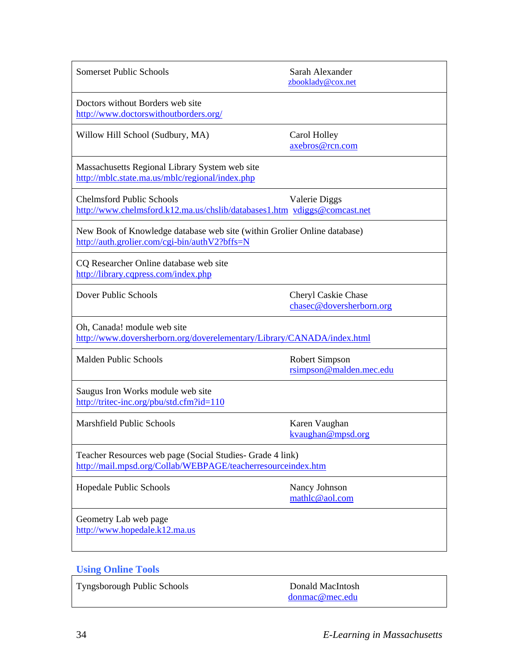| <b>Somerset Public Schools</b>                                                                                            | Sarah Alexander<br>zbooklady@cox.net            |  |
|---------------------------------------------------------------------------------------------------------------------------|-------------------------------------------------|--|
| Doctors without Borders web site<br>http://www.doctorswithoutborders.org/                                                 |                                                 |  |
| Willow Hill School (Sudbury, MA)                                                                                          | Carol Holley<br>axebros@rcn.com                 |  |
| Massachusetts Regional Library System web site<br>http://mblc.state.ma.us/mblc/regional/index.php                         |                                                 |  |
| <b>Chelmsford Public Schools</b><br>http://www.chelmsford.k12.ma.us/chslib/databases1.htm vdiggs@comcast.net              | Valerie Diggs                                   |  |
| New Book of Knowledge database web site (within Grolier Online database)<br>http://auth.grolier.com/cgi-bin/authV2?bffs=N |                                                 |  |
| CQ Researcher Online database web site<br>http://library.cqpress.com/index.php                                            |                                                 |  |
| Dover Public Schools                                                                                                      | Cheryl Caskie Chase<br>chasec@doversherborn.org |  |
| Oh, Canada! module web site<br>http://www.doversherborn.org/doverelementary/Library/CANADA/index.html                     |                                                 |  |
| Malden Public Schools                                                                                                     | Robert Simpson<br>rsimpson@malden.mec.edu       |  |
| Saugus Iron Works module web site<br>http://tritec-inc.org/pbu/std.cfm?id=110                                             |                                                 |  |
| <b>Marshfield Public Schools</b>                                                                                          | Karen Vaughan<br>kvaughan@mpsd.org              |  |
| Teacher Resources web page (Social Studies- Grade 4 link)<br>http://mail.mpsd.org/Collab/WEBPAGE/teacherresourceindex.htm |                                                 |  |
| Hopedale Public Schools                                                                                                   | Nancy Johnson<br>mathlc@aol.com                 |  |
| Geometry Lab web page<br>http://www.hopedale.k12.ma.us                                                                    |                                                 |  |

### **Using Online Tools**

Tyngsborough Public Schools Donald MacIntosh

donmac@mec.edu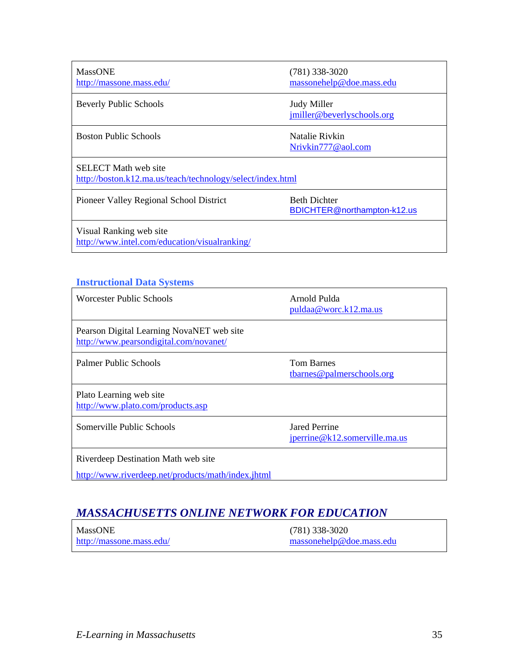| <b>MassONE</b><br>http://massone.mass.edu/                                                | $(781)$ 338-3020<br>massonehelp@doe.mass.edu       |  |
|-------------------------------------------------------------------------------------------|----------------------------------------------------|--|
| <b>Beverly Public Schools</b>                                                             | Judy Miller<br>jmiller@beverlyschools.org          |  |
| <b>Boston Public Schools</b>                                                              | Natalie Rivkin<br>Nrivkin777@aol.com               |  |
| <b>SELECT</b> Math web site<br>http://boston.k12.ma.us/teach/technology/select/index.html |                                                    |  |
| Pioneer Valley Regional School District                                                   | <b>Beth Dichter</b><br>BDICHTER@northampton-k12.us |  |
| Visual Ranking web site<br>http://www.intel.com/education/visualranking/                  |                                                    |  |

### **Instructional Data Systems**

| Worcester Public Schools                                                            | Arnold Pulda<br>puldaa@worc.k12.ma.us                |
|-------------------------------------------------------------------------------------|------------------------------------------------------|
| Pearson Digital Learning NovaNET web site<br>http://www.pearsondigital.com/novanet/ |                                                      |
| Palmer Public Schools                                                               | <b>Tom Barnes</b><br>tbarnes@palmerschools.org       |
| Plato Learning web site<br>http://www.plato.com/products.asp                        |                                                      |
| Somerville Public Schools                                                           | <b>Jared Perrine</b><br>iperrine@k12.somervillema.us |
| Riverdeep Destination Math web site                                                 |                                                      |
| http://www.riverdeep.net/products/math/index.jhtml                                  |                                                      |

### *MASSACHUSETTS ONLINE NETWORK FOR EDUCATION*

| <b>MassONE</b>           | $(781)$ 338-3020         |
|--------------------------|--------------------------|
| http://massone.mass.edu/ | massonehelp@doe.mass.edu |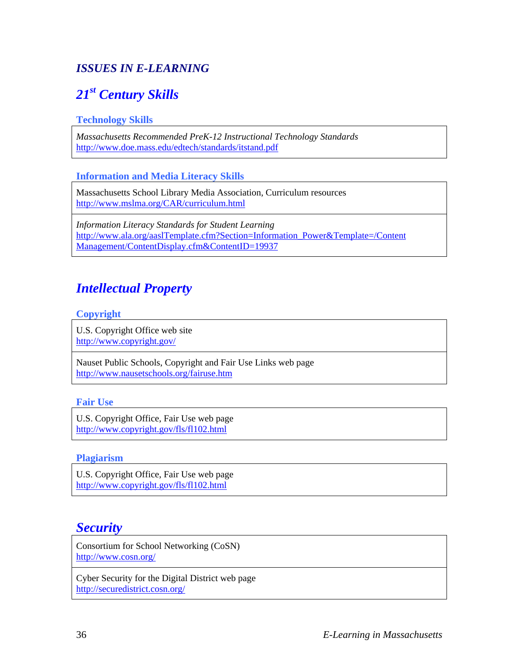### *ISSUES IN E-LEARNING*

# *21st Century Skills*

#### **Technology Skills**

*Massachusetts Recommended PreK-12 Instructional Technology Standards*  http://www.doe.mass.edu/edtech/standards/itstand.pdf

#### **Information and Media Literacy Skills**

Massachusetts School Library Media Association, Curriculum resources http://www.mslma.org/CAR/curriculum.html

*Information Literacy Standards for Student Learning*  http://www.ala.org/aaslTemplate.cfm?Section=Information\_Power&Template=/Content Management/ContentDisplay.cfm&ContentID=19937

### *Intellectual Property*

#### **Copyright**

U.S. Copyright Office web site http://www.copyright.gov/

Nauset Public Schools, Copyright and Fair Use Links web page http://www.nausetschools.org/fairuse.htm

#### **Fair Use**

U.S. Copyright Office, Fair Use web page http://www.copyright.gov/fls/fl102.html

#### **Plagiarism**

U.S. Copyright Office, Fair Use web page http://www.copyright.gov/fls/fl102.html

### *Security*

Consortium for School Networking (CoSN) http://www.cosn.org/

Cyber Security for the Digital District web page http://securedistrict.cosn.org/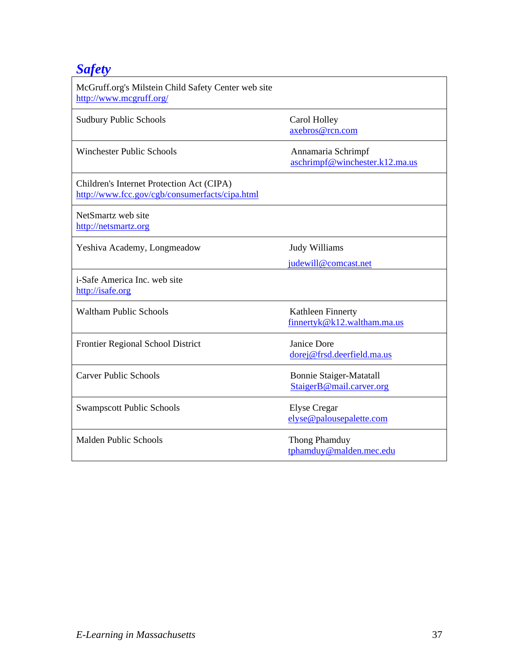# *Safety*

| McGruff.org's Milstein Child Safety Center web site<br>http://www.mcgruff.org/              |                                                            |
|---------------------------------------------------------------------------------------------|------------------------------------------------------------|
| <b>Sudbury Public Schools</b>                                                               | Carol Holley<br>axebros@rcn.com                            |
| <b>Winchester Public Schools</b>                                                            | Annamaria Schrimpf<br>aschrimpf@winchester.k12.ma.us       |
| Children's Internet Protection Act (CIPA)<br>http://www.fcc.gov/cgb/consumerfacts/cipa.html |                                                            |
| NetSmartz web site<br>http://netsmartz.org                                                  |                                                            |
| Yeshiva Academy, Longmeadow                                                                 | Judy Williams<br>judewill@comcast.net                      |
| <i>i</i> -Safe America Inc. web site<br>http://isafe.org                                    |                                                            |
| <b>Waltham Public Schools</b>                                                               | Kathleen Finnerty<br>finnertyk@k12.waltham.ma.us           |
| Frontier Regional School District                                                           | Janice Dore<br>dorej@frsd.deerfield.ma.us                  |
| <b>Carver Public Schools</b>                                                                | <b>Bonnie Staiger-Matatall</b><br>StaigerB@mail.carver.org |
| <b>Swampscott Public Schools</b>                                                            | <b>Elyse</b> Cregar<br>elyse@palousepalette.com            |
| <b>Malden Public Schools</b>                                                                | Thong Phamduy<br>tphamduy@malden.mec.edu                   |